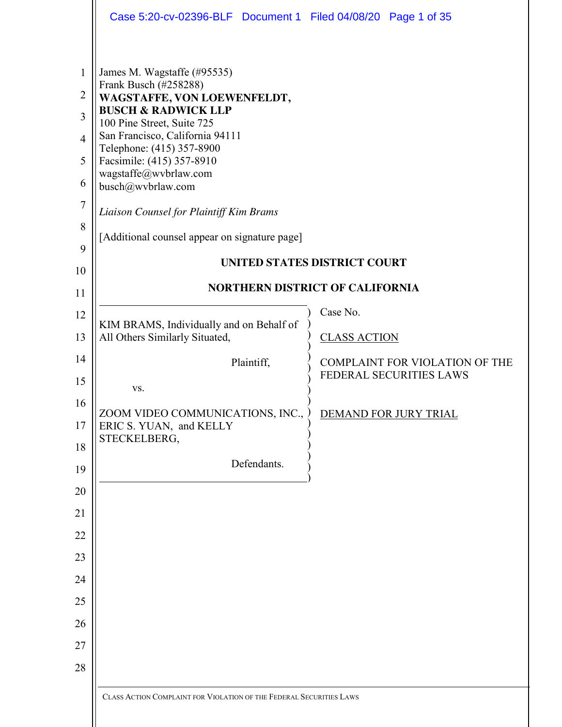|                                                                                        | Case 5:20-cv-02396-BLF  Document 1  Filed 04/08/20  Page 1 of 35                                                                                                                                                                                                                                                                                                                           |                                                                               |
|----------------------------------------------------------------------------------------|--------------------------------------------------------------------------------------------------------------------------------------------------------------------------------------------------------------------------------------------------------------------------------------------------------------------------------------------------------------------------------------------|-------------------------------------------------------------------------------|
| 1<br>$\overline{2}$<br>3<br>$\overline{4}$<br>5<br>6<br>$\overline{7}$<br>8<br>9<br>10 | James M. Wagstaffe (#95535)<br>Frank Busch (#258288)<br>WAGSTAFFE, VON LOEWENFELDT,<br><b>BUSCH &amp; RADWICK LLP</b><br>100 Pine Street, Suite 725<br>San Francisco, California 94111<br>Telephone: (415) 357-8900<br>Facsimile: (415) 357-8910<br>wagstaffe@wvbrlaw.com<br>busch@wvbrlaw.com<br>Liaison Counsel for Plaintiff Kim Brams<br>[Additional counsel appear on signature page] | <b>UNITED STATES DISTRICT COURT</b><br><b>NORTHERN DISTRICT OF CALIFORNIA</b> |
| 11<br>12<br>13                                                                         | KIM BRAMS, Individually and on Behalf of<br>All Others Similarly Situated,                                                                                                                                                                                                                                                                                                                 | Case No.<br><b>CLASS ACTION</b>                                               |
| 14<br>15                                                                               | Plaintiff,<br>VS.                                                                                                                                                                                                                                                                                                                                                                          | COMPLAINT FOR VIOLATION OF THE<br>FEDERAL SECURITIES LAWS                     |
| 16<br>17<br>18                                                                         | ZOOM VIDEO COMMUNICATIONS, INC.,<br>ERIC S. YUAN, and KELLY<br>STECKELBERG,                                                                                                                                                                                                                                                                                                                | DEMAND FOR JURY TRIAL                                                         |
| 19                                                                                     | Defendants.                                                                                                                                                                                                                                                                                                                                                                                |                                                                               |
| 20<br>21                                                                               |                                                                                                                                                                                                                                                                                                                                                                                            |                                                                               |
| 22                                                                                     |                                                                                                                                                                                                                                                                                                                                                                                            |                                                                               |
| 23                                                                                     |                                                                                                                                                                                                                                                                                                                                                                                            |                                                                               |
| 24                                                                                     |                                                                                                                                                                                                                                                                                                                                                                                            |                                                                               |
| 25                                                                                     |                                                                                                                                                                                                                                                                                                                                                                                            |                                                                               |
| 26<br>27                                                                               |                                                                                                                                                                                                                                                                                                                                                                                            |                                                                               |
| 28                                                                                     |                                                                                                                                                                                                                                                                                                                                                                                            |                                                                               |
|                                                                                        | CLASS ACTION COMPLAINT FOR VIOLATION OF THE FEDERAL SECURITIES LAWS                                                                                                                                                                                                                                                                                                                        |                                                                               |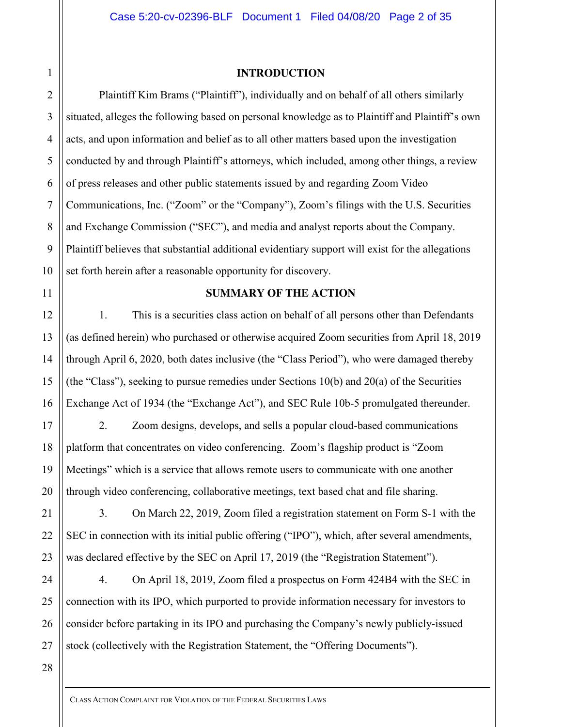**INTRODUCTION**

Plaintiff Kim Brams ("Plaintiff"), individually and on behalf of all others similarly situated, alleges the following based on personal knowledge as to Plaintiff and Plaintiff's own acts, and upon information and belief as to all other matters based upon the investigation conducted by and through Plaintiff's attorneys, which included, among other things, a review of press releases and other public statements issued by and regarding Zoom Video Communications, Inc. ("Zoom" or the "Company"), Zoom's filings with the U.S. Securities and Exchange Commission ("SEC"), and media and analyst reports about the Company. Plaintiff believes that substantial additional evidentiary support will exist for the allegations set forth herein after a reasonable opportunity for discovery.

# **SUMMARY OF THE ACTION**

1. This is a securities class action on behalf of all persons other than Defendants (as defined herein) who purchased or otherwise acquired Zoom securities from April 18, 2019 through April 6, 2020, both dates inclusive (the "Class Period"), who were damaged thereby (the "Class"), seeking to pursue remedies under Sections 10(b) and 20(a) of the Securities Exchange Act of 1934 (the "Exchange Act"), and SEC Rule 10b-5 promulgated thereunder.

2. Zoom designs, develops, and sells a popular cloud-based communications platform that concentrates on video conferencing. Zoom's flagship product is "Zoom Meetings" which is a service that allows remote users to communicate with one another through video conferencing, collaborative meetings, text based chat and file sharing.

3. On March 22, 2019, Zoom filed a registration statement on Form S-1 with the SEC in connection with its initial public offering ("IPO"), which, after several amendments, was declared effective by the SEC on April 17, 2019 (the "Registration Statement").

4. On April 18, 2019, Zoom filed a prospectus on Form 424B4 with the SEC in connection with its IPO, which purported to provide information necessary for investors to consider before partaking in its IPO and purchasing the Company's newly publicly-issued stock (collectively with the Registration Statement, the "Offering Documents").

1

2

3

4

5

6

7

8

9

CLASS ACTION COMPLAINT FOR VIOLATION OF THE FEDERAL SECURITIES LAWS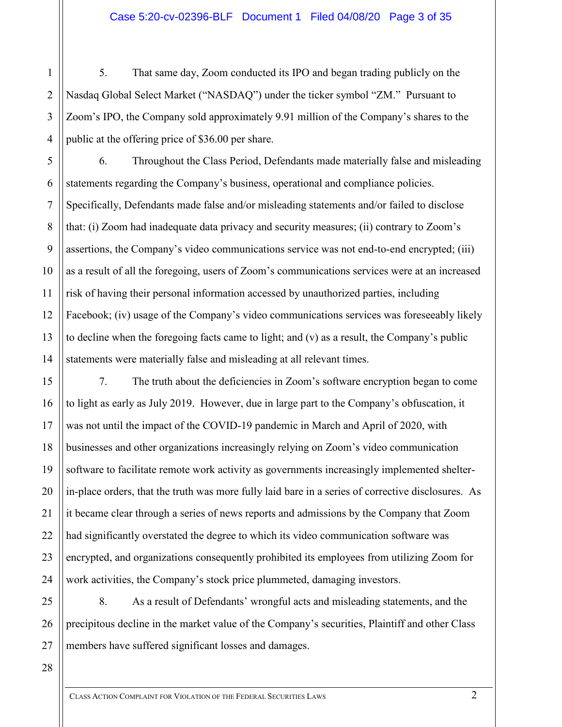5. That same day, Zoom conducted its IPO and began trading publicly on the Nasdaq Global Select Market ("NASDAQ") under the ticker symbol "ZM." Pursuant to Zoom's IPO, the Company sold approximately 9.91 million of the Company's shares to the public at the offering price of \$36.00 per share.

6. Throughout the Class Period, Defendants made materially false and misleading statements regarding the Company's business, operational and compliance policies. Specifically, Defendants made false and/or misleading statements and/or failed to disclose that: (i) Zoom had inadequate data privacy and security measures; (ii) contrary to Zoom's assertions, the Company's video communications service was not end-to-end encrypted; (iii) as a result of all the foregoing, users of Zoom's communications services were at an increased risk of having their personal information accessed by unauthorized parties, including Facebook; (iv) usage of the Company's video communications services was foreseeably likely to decline when the foregoing facts came to light; and (v) as a result, the Company's public statements were materially false and misleading at all relevant times.

7. The truth about the deficiencies in Zoom's software encryption began to come to light as early as July 2019. However, due in large part to the Company's obfuscation, it was not until the impact of the COVID-19 pandemic in March and April of 2020, with businesses and other organizations increasingly relying on Zoom's video communication software to facilitate remote work activity as governments increasingly implemented shelterin-place orders, that the truth was more fully laid bare in a series of corrective disclosures. As it became clear through a series of news reports and admissions by the Company that Zoom had significantly overstated the degree to which its video communication software was encrypted, and organizations consequently prohibited its employees from utilizing Zoom for work activities, the Company's stock price plummeted, damaging investors.

25 8. As a result of Defendants' wrongful acts and misleading statements, and the precipitous decline in the market value of the Company's securities, Plaintiff and other Class members have suffered significant losses and damages.

1

2

3

4

5

6

7

8

9

10

11

12

13

14

15

16

17

18

19

20

21

22

23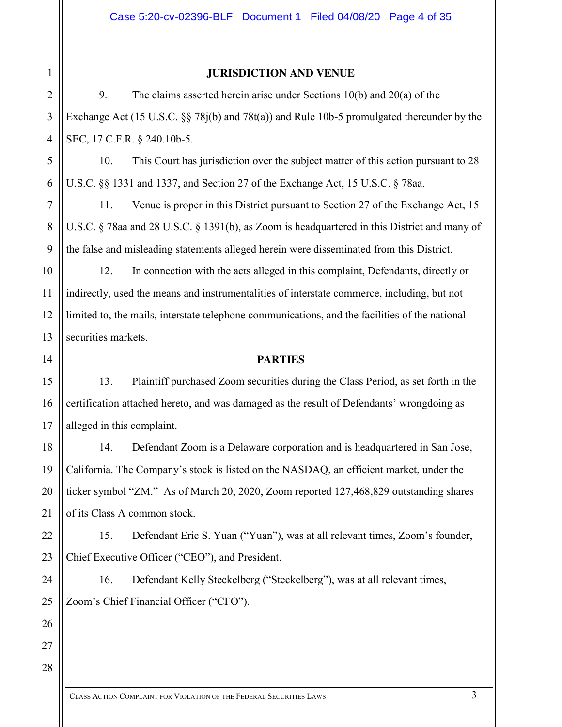1 2 3

4

5

6

7

# **JURISDICTION AND VENUE**

9. The claims asserted herein arise under Sections 10(b) and 20(a) of the Exchange Act (15 U.S.C. §§ 78j(b) and 78t(a)) and Rule 10b-5 promulgated thereunder by the SEC, 17 C.F.R. § 240.10b-5.

10. This Court has jurisdiction over the subject matter of this action pursuant to 28 U.S.C. §§ 1331 and 1337, and Section 27 of the Exchange Act, 15 U.S.C. § 78aa.

11. Venue is proper in this District pursuant to Section 27 of the Exchange Act, 15 U.S.C. § 78aa and 28 U.S.C. § 1391(b), as Zoom is headquartered in this District and many of the false and misleading statements alleged herein were disseminated from this District.

12. In connection with the acts alleged in this complaint, Defendants, directly or indirectly, used the means and instrumentalities of interstate commerce, including, but not limited to, the mails, interstate telephone communications, and the facilities of the national securities markets.

#### **PARTIES**

13. Plaintiff purchased Zoom securities during the Class Period, as set forth in the certification attached hereto, and was damaged as the result of Defendants' wrongdoing as alleged in this complaint.

14. Defendant Zoom is a Delaware corporation and is headquartered in San Jose, California. The Company's stock is listed on the NASDAQ, an efficient market, under the ticker symbol "ZM." As of March 20, 2020, Zoom reported 127,468,829 outstanding shares of its Class A common stock.

15. Defendant Eric S. Yuan ("Yuan"), was at all relevant times, Zoom's founder, Chief Executive Officer ("CEO"), and President.

16. Defendant Kelly Steckelberg ("Steckelberg"), was at all relevant times, Zoom's Chief Financial Officer ("CFO").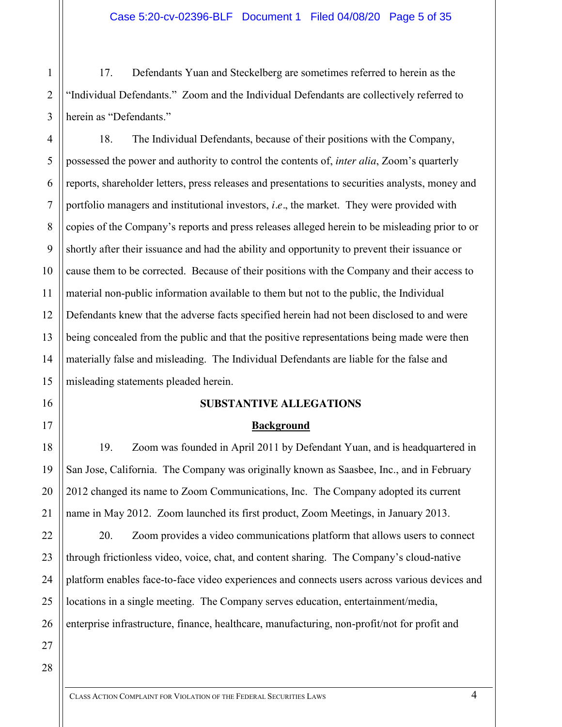17. Defendants Yuan and Steckelberg are sometimes referred to herein as the "Individual Defendants." Zoom and the Individual Defendants are collectively referred to herein as "Defendants."

4 6 8 10 12 13 14 15 18. The Individual Defendants, because of their positions with the Company, possessed the power and authority to control the contents of, *inter alia*, Zoom's quarterly reports, shareholder letters, press releases and presentations to securities analysts, money and portfolio managers and institutional investors, *i.e.*, the market. They were provided with copies of the Company's reports and press releases alleged herein to be misleading prior to or shortly after their issuance and had the ability and opportunity to prevent their issuance or cause them to be corrected. Because of their positions with the Company and their access to material non-public information available to them but not to the public, the Individual Defendants knew that the adverse facts specified herein had not been disclosed to and were being concealed from the public and that the positive representations being made were then materially false and misleading. The Individual Defendants are liable for the false and misleading statements pleaded herein.

# **SUBSTANTIVE ALLEGATIONS**

# **Background**

19. Zoom was founded in April 2011 by Defendant Yuan, and is headquartered in San Jose, California. The Company was originally known as Saasbee, Inc., and in February 2012 changed its name to Zoom Communications, Inc. The Company adopted its current name in May 2012. Zoom launched its first product, Zoom Meetings, in January 2013.

20. Zoom provides a video communications platform that allows users to connect through frictionless video, voice, chat, and content sharing. The Company's cloud-native platform enables face-to-face video experiences and connects users across various devices and locations in a single meeting. The Company serves education, entertainment/media, enterprise infrastructure, finance, healthcare, manufacturing, non-profit/not for profit and

28

1

2

3

5

7

9

11

16

17

18

19

20

21

22

23

24

25

26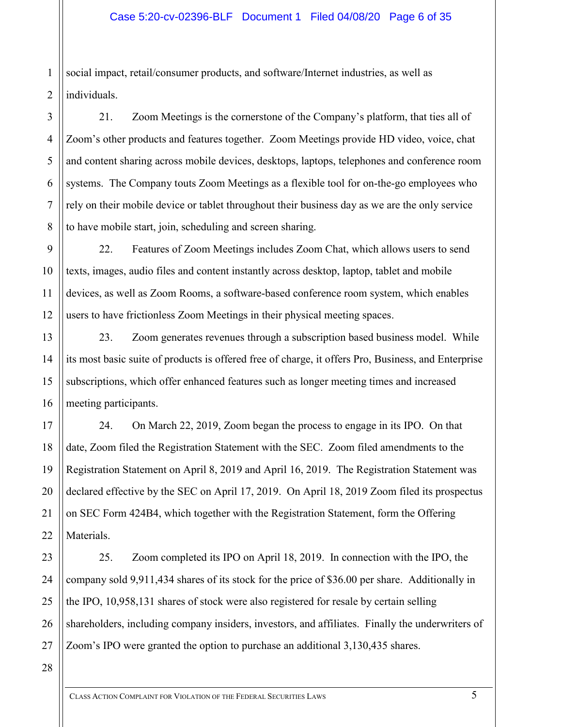1 2 social impact, retail/consumer products, and software/Internet industries, as well as individuals.

21. Zoom Meetings is the cornerstone of the Company's platform, that ties all of Zoom's other products and features together. Zoom Meetings provide HD video, voice, chat and content sharing across mobile devices, desktops, laptops, telephones and conference room systems. The Company touts Zoom Meetings as a flexible tool for on-the-go employees who rely on their mobile device or tablet throughout their business day as we are the only service to have mobile start, join, scheduling and screen sharing.

22. Features of Zoom Meetings includes Zoom Chat, which allows users to send texts, images, audio files and content instantly across desktop, laptop, tablet and mobile devices, as well as Zoom Rooms, a software-based conference room system, which enables users to have frictionless Zoom Meetings in their physical meeting spaces.

23. Zoom generates revenues through a subscription based business model. While its most basic suite of products is offered free of charge, it offers Pro, Business, and Enterprise subscriptions, which offer enhanced features such as longer meeting times and increased meeting participants.

24. On March 22, 2019, Zoom began the process to engage in its IPO. On that date, Zoom filed the Registration Statement with the SEC. Zoom filed amendments to the Registration Statement on April 8, 2019 and April 16, 2019. The Registration Statement was declared effective by the SEC on April 17, 2019. On April 18, 2019 Zoom filed its prospectus on SEC Form 424B4, which together with the Registration Statement, form the Offering Materials.

23 24 25 26 25. Zoom completed its IPO on April 18, 2019. In connection with the IPO, the company sold 9,911,434 shares of its stock for the price of \$36.00 per share. Additionally in the IPO, 10,958,131 shares of stock were also registered for resale by certain selling shareholders, including company insiders, investors, and affiliates. Finally the underwriters of Zoom's IPO were granted the option to purchase an additional 3,130,435 shares.

28

27

3

4

5

6

7

8

9

10

11

12

13

14

15

16

17

18

19

20

21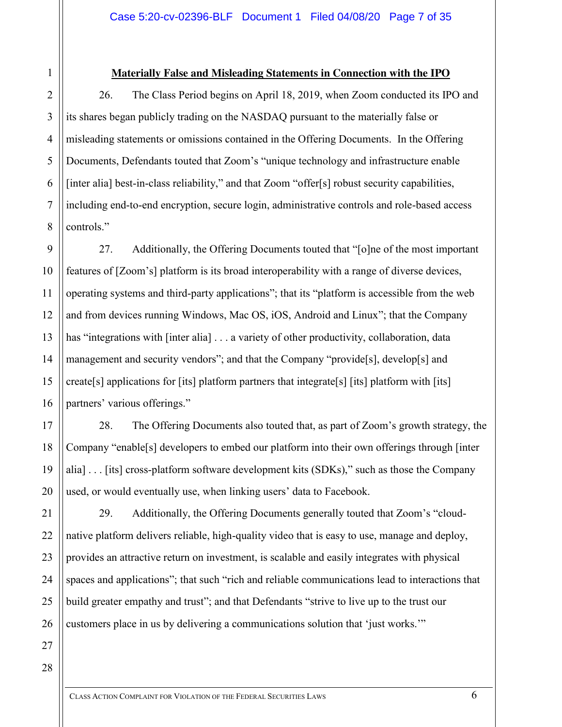# 1 2 3 4

5

6

7

8

9

10

11

12

13

14

15

16

17

18

19

20

21

22

23

24

25

# **Materially False and Misleading Statements in Connection with the IPO**

26. The Class Period begins on April 18, 2019, when Zoom conducted its IPO and its shares began publicly trading on the NASDAQ pursuant to the materially false or misleading statements or omissions contained in the Offering Documents. In the Offering Documents, Defendants touted that Zoom's "unique technology and infrastructure enable [inter alia] best-in-class reliability," and that Zoom "offer[s] robust security capabilities, including end-to-end encryption, secure login, administrative controls and role-based access controls."

27. Additionally, the Offering Documents touted that "[o]ne of the most important features of [Zoom's] platform is its broad interoperability with a range of diverse devices, operating systems and third-party applications"; that its "platform is accessible from the web and from devices running Windows, Mac OS, iOS, Android and Linux"; that the Company has "integrations with [inter alia] . . . a variety of other productivity, collaboration, data management and security vendors"; and that the Company "provide[s], develop[s] and create[s] applications for [its] platform partners that integrate[s] [its] platform with [its] partners' various offerings."

28. The Offering Documents also touted that, as part of Zoom's growth strategy, the Company "enable[s] developers to embed our platform into their own offerings through [inter alia] . . . [its] cross-platform software development kits (SDKs)," such as those the Company used, or would eventually use, when linking users' data to Facebook.

29. Additionally, the Offering Documents generally touted that Zoom's "cloudnative platform delivers reliable, high-quality video that is easy to use, manage and deploy, provides an attractive return on investment, is scalable and easily integrates with physical spaces and applications"; that such "rich and reliable communications lead to interactions that build greater empathy and trust"; and that Defendants "strive to live up to the trust our customers place in us by delivering a communications solution that 'just works.'"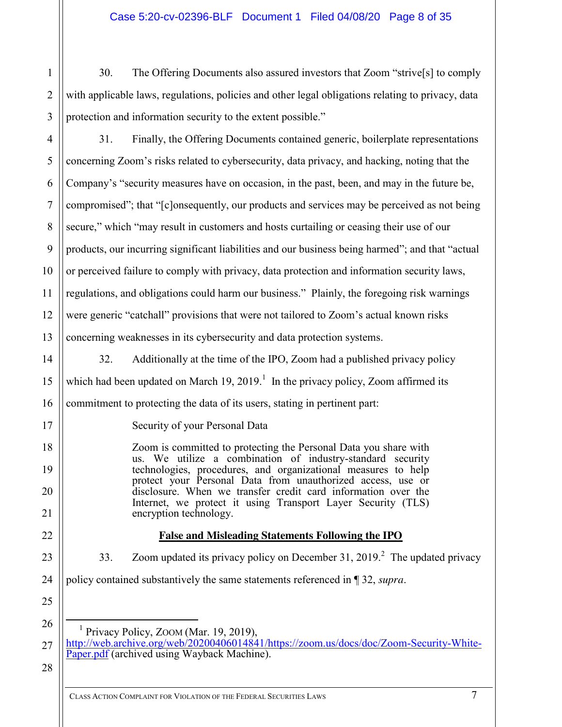2 3 30. The Offering Documents also assured investors that Zoom "strive[s] to comply with applicable laws, regulations, policies and other legal obligations relating to privacy, data protection and information security to the extent possible."

4 5 6 7 8 9 10 11 12 13 31. Finally, the Offering Documents contained generic, boilerplate representations concerning Zoom's risks related to cybersecurity, data privacy, and hacking, noting that the Company's "security measures have on occasion, in the past, been, and may in the future be, compromised"; that "[c]onsequently, our products and services may be perceived as not being secure," which "may result in customers and hosts curtailing or ceasing their use of our products, our incurring significant liabilities and our business being harmed"; and that "actual or perceived failure to comply with privacy, data protection and information security laws, regulations, and obligations could harm our business." Plainly, the foregoing risk warnings were generic "catchall" provisions that were not tailored to Zoom's actual known risks concerning weaknesses in its cybersecurity and data protection systems.

- 32. Additionally at the time of the IPO, Zoom had a published privacy policy which had been updated on March 19, 2019.<sup>1</sup> In the privacy policy, Zoom affirmed its commitment to protecting the data of its users, stating in pertinent part:
	- Security of your Personal Data

Zoom is committed to protecting the Personal Data you share with us. We utilize a combination of industry-standard security technologies, procedures, and organizational measures to help protect your Personal Data from unauthorized access, use or disclosure. When we transfer credit card information over the Internet, we protect it using Transport Layer Security (TLS) encryption technology.

# **False and Misleading Statements Following the IPO**

33. Zoom updated its privacy policy on December 31, 2019.<sup>2</sup> The updated privacy

24 policy contained substantively the same statements referenced in ¶ 32, *supra*.

Privacy Policy, ZOOM (Mar. 19, 2019),

27 [http://web.archive.org/web/20200406014841/https://zoom.us/docs/doc/Zoom-Security-White-](web.archive.org/web/20200406014841/https:/zoom.us/docs/doc/Zoom-Security-White-Paper.pdf)[Paper.pdf](web.archive.org/web/20200406014841/https:/zoom.us/docs/doc/Zoom-Security-White-Paper.pdf) (archived using Wayback Machine).

28

1

14

15

16

17

18

19

20

21

22

23

25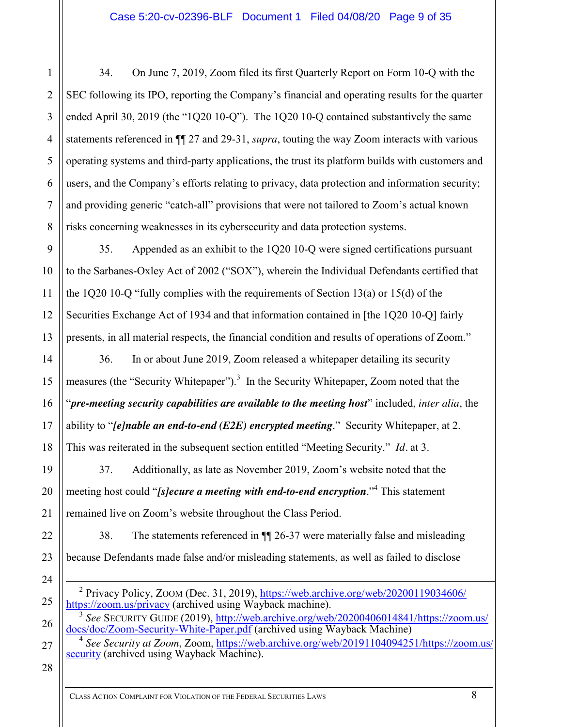1 2 3 4 5 6 7 8 34. On June 7, 2019, Zoom filed its first Quarterly Report on Form 10-Q with the SEC following its IPO, reporting the Company's financial and operating results for the quarter ended April 30, 2019 (the "1Q20 10-Q"). The 1Q20 10-Q contained substantively the same statements referenced in ¶¶ 27 and 29-31, *supra*, touting the way Zoom interacts with various operating systems and third-party applications, the trust its platform builds with customers and users, and the Company's efforts relating to privacy, data protection and information security; and providing generic "catch-all" provisions that were not tailored to Zoom's actual known risks concerning weaknesses in its cybersecurity and data protection systems.

35. Appended as an exhibit to the 1Q20 10-Q were signed certifications pursuant to the Sarbanes-Oxley Act of 2002 ("SOX"), wherein the Individual Defendants certified that the 1Q20 10-Q "fully complies with the requirements of Section 13(a) or 15(d) of the Securities Exchange Act of 1934 and that information contained in [the 1Q20 10-Q] fairly presents, in all material respects, the financial condition and results of operations of Zoom."

36. In or about June 2019, Zoom released a whitepaper detailing its security measures (the "Security Whitepaper").<sup>3</sup> In the Security Whitepaper, Zoom noted that the "*pre-meeting security capabilities are available to the meeting host*" included, *inter alia*, the ability to "*[e]nable an end-to-end (E2E) encrypted meeting*." Security Whitepaper, at 2. This was reiterated in the subsequent section entitled "Meeting Security." *Id.* at 3.

37. Additionally, as late as November 2019, Zoom's website noted that the meeting host could "*[s]ecure a meeting with end-to-end encryption*." <sup>4</sup> This statement remained live on Zoom's website throughout the Class Period.

38. The statements referenced in ¶¶ 26-37 were materially false and misleading because Defendants made false and/or misleading statements, as well as failed to disclose

 $^2$  Privacy Policy, ZOOM (Dec. 31, 2019), [https://web.archive.org/web/20200119034606/](https://web.archive.org/web/20200119034606/https:/zoom.us/privacy) [https://zoom.us/privacy](https://web.archive.org/web/20200119034606/https:/zoom.us/privacy) (archived using Wayback machine).

<sup>3</sup> *See* SECURITY GUIDE (2019), [http://web.archive.org/web/20200406014841/https://zoom.us/](web.archive.org/web/20200406014841/https:/zoom.us/docs/doc/Zoom-Security-White-Paper.pdf) [docs/doc/Zoom-Security-White-Paper.pdf](web.archive.org/web/20200406014841/https:/zoom.us/docs/doc/Zoom-Security-White-Paper.pdf) (archived using Wayback Machine)

<sup>4</sup> *See Security at Zoom*, Zoom, [https://web.archive.org/web/20191104094251/https://zoom.us/](https://web.archive.org/web/20191104094251/https:/zoom.us/security) [security](https://web.archive.org/web/20191104094251/https:/zoom.us/security) (archived using Wayback Machine).

28

9

10

11

12

13

14

15

16

17

18

19

20

21

22

23

24

25

26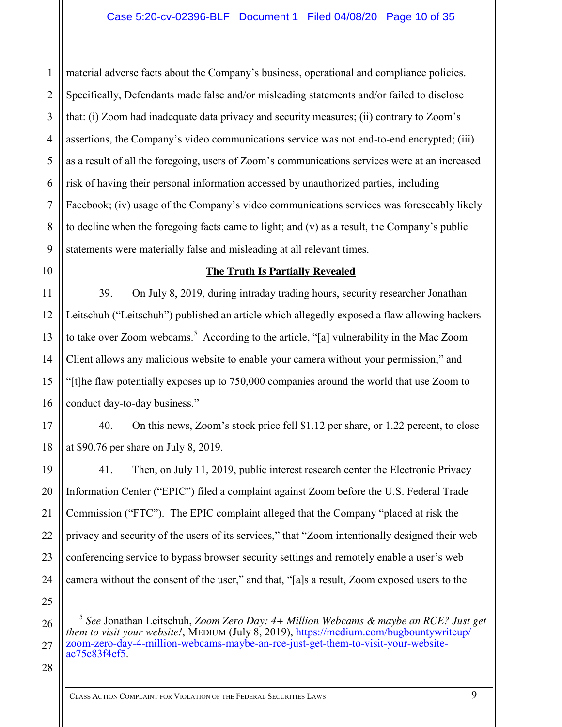2 3 4 5 6 7 8 9 material adverse facts about the Company's business, operational and compliance policies. Specifically, Defendants made false and/or misleading statements and/or failed to disclose that: (i) Zoom had inadequate data privacy and security measures; (ii) contrary to Zoom's assertions, the Company's video communications service was not end-to-end encrypted; (iii) as a result of all the foregoing, users of Zoom's communications services were at an increased risk of having their personal information accessed by unauthorized parties, including Facebook; (iv) usage of the Company's video communications services was foreseeably likely to decline when the foregoing facts came to light; and (v) as a result, the Company's public statements were materially false and misleading at all relevant times.

10 11

12

13

14

15

16

19

20

21

22

23

24

25

1

# **The Truth Is Partially Revealed**

39. On July 8, 2019, during intraday trading hours, security researcher Jonathan Leitschuh ("Leitschuh") published an article which allegedly exposed a flaw allowing hackers to take over Zoom webcams.<sup>5</sup> According to the article, "[a] vulnerability in the Mac Zoom Client allows any malicious website to enable your camera without your permission," and "[t]he flaw potentially exposes up to 750,000 companies around the world that use Zoom to conduct day-to-day business."

17 18 40. On this news, Zoom's stock price fell \$1.12 per share, or 1.22 percent, to close at \$90.76 per share on July 8, 2019.

41. Then, on July 11, 2019, public interest research center the Electronic Privacy Information Center ("EPIC") filed a complaint against Zoom before the U.S. Federal Trade Commission ("FTC"). The EPIC complaint alleged that the Company "placed at risk the privacy and security of the users of its services," that "Zoom intentionally designed their web conferencing service to bypass browser security settings and remotely enable a user's web camera without the consent of the user," and that, "[a]s a result, Zoom exposed users to the

<sup>26</sup> 27 5 *See* Jonathan Leitschuh, *Zoom Zero Day: 4+ Million Webcams & maybe an RCE? Just get them to visit your website!*, MEDIUM (July 8, 2019), [https://medium.com/bugbountywriteup/](https://medium.com/bugbountywriteup/zoom-zero-day-4-million-webcams-maybe-an-rce-just-get-them-to-visit-your-website-ac75c83f4ef5) [zoom-zero-day-4-million-webcams-maybe-an-rce-just-get-them-to-visit-your-website](https://medium.com/bugbountywriteup/zoom-zero-day-4-million-webcams-maybe-an-rce-just-get-them-to-visit-your-website-ac75c83f4ef5)[ac75c83f4ef5.](https://medium.com/bugbountywriteup/zoom-zero-day-4-million-webcams-maybe-an-rce-just-get-them-to-visit-your-website-ac75c83f4ef5)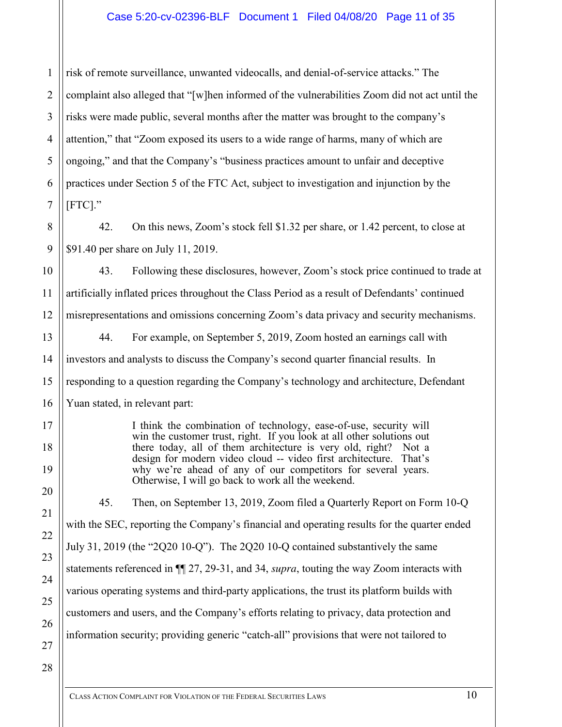# Case 5:20-cv-02396-BLF Document 1 Filed 04/08/20 Page 11 of 35

1 2 3 risk of remote surveillance, unwanted videocalls, and denial-of-service attacks." The complaint also alleged that "[w]hen informed of the vulnerabilities Zoom did not act until the risks were made public, several months after the matter was brought to the company's attention," that "Zoom exposed its users to a wide range of harms, many of which are ongoing," and that the Company's "business practices amount to unfair and deceptive practices under Section 5 of the FTC Act, subject to investigation and injunction by the [FTC]."

42. On this news, Zoom's stock fell \$1.32 per share, or 1.42 percent, to close at \$91.40 per share on July 11, 2019.

43. Following these disclosures, however, Zoom's stock price continued to trade at artificially inflated prices throughout the Class Period as a result of Defendants' continued misrepresentations and omissions concerning Zoom's data privacy and security mechanisms.

44. For example, on September 5, 2019, Zoom hosted an earnings call with investors and analysts to discuss the Company's second quarter financial results. In responding to a question regarding the Company's technology and architecture, Defendant Yuan stated, in relevant part:

> I think the combination of technology, ease-of-use, security will win the customer trust, right. If you look at all other solutions out there today, all of them architecture is very old, right? Not a design for modern video cloud -- video first architecture. That's why we're ahead of any of our competitors for several years. Otherwise, I will go back to work all the weekend.

45. Then, on September 13, 2019, Zoom filed a Quarterly Report on Form 10-Q with the SEC, reporting the Company's financial and operating results for the quarter ended July 31, 2019 (the "2Q20 10-Q"). The 2Q20 10-Q contained substantively the same statements referenced in ¶¶ 27, 29-31, and 34, *supra*, touting the way Zoom interacts with various operating systems and third-party applications, the trust its platform builds with customers and users, and the Company's efforts relating to privacy, data protection and information security; providing generic "catch-all" provisions that were not tailored to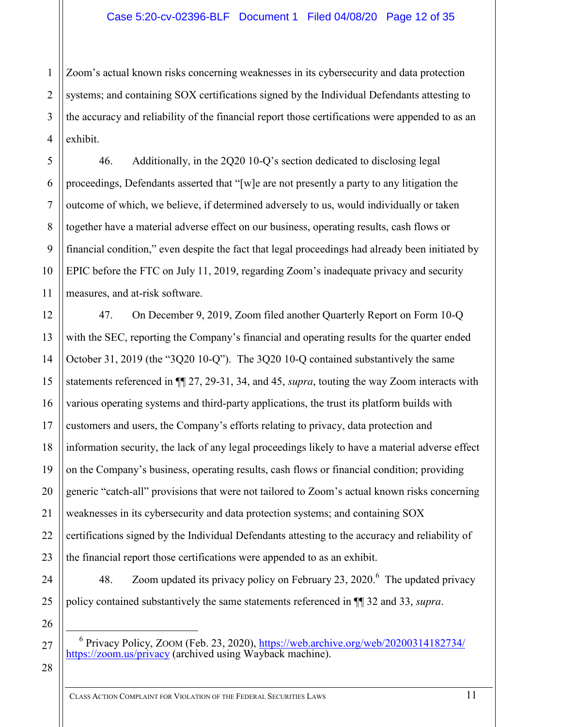1 2 3 4 Zoom's actual known risks concerning weaknesses in its cybersecurity and data protection systems; and containing SOX certifications signed by the Individual Defendants attesting to the accuracy and reliability of the financial report those certifications were appended to as an exhibit.

46. Additionally, in the 2Q20 10-Q's section dedicated to disclosing legal proceedings, Defendants asserted that "[w]e are not presently a party to any litigation the outcome of which, we believe, if determined adversely to us, would individually or taken together have a material adverse effect on our business, operating results, cash flows or financial condition," even despite the fact that legal proceedings had already been initiated by EPIC before the FTC on July 11, 2019, regarding Zoom's inadequate privacy and security measures, and at-risk software.

47. On December 9, 2019, Zoom filed another Quarterly Report on Form 10-Q with the SEC, reporting the Company's financial and operating results for the quarter ended October 31, 2019 (the "3Q20 10-Q"). The 3Q20 10-Q contained substantively the same statements referenced in ¶¶ 27, 29-31, 34, and 45, *supra*, touting the way Zoom interacts with various operating systems and third-party applications, the trust its platform builds with customers and users, the Company's efforts relating to privacy, data protection and information security, the lack of any legal proceedings likely to have a material adverse effect on the Company's business, operating results, cash flows or financial condition; providing generic "catch-all" provisions that were not tailored to Zoom's actual known risks concerning weaknesses in its cybersecurity and data protection systems; and containing SOX certifications signed by the Individual Defendants attesting to the accuracy and reliability of the financial report those certifications were appended to as an exhibit.

48. Zoom updated its privacy policy on February 23, 2020. $^6$  The updated privacy policy contained substantively the same statements referenced in ¶¶ 32 and 33, *supra*.

28

5

6

7

8

9

10

11

12

13

14

15

16

17

18

19

20

21

22

23

24

25

26

 <sup>6</sup> Privacy Policy, ZOOM (Feb. 23, 2020), [https://web.archive.org/web/20200314182734/](https://web.archive.org/web/20200314182734/https:/zoom.us/privacy) [https://zoom.us/privacy](https://web.archive.org/web/20200314182734/https:/zoom.us/privacy) (archived using Wayback machine).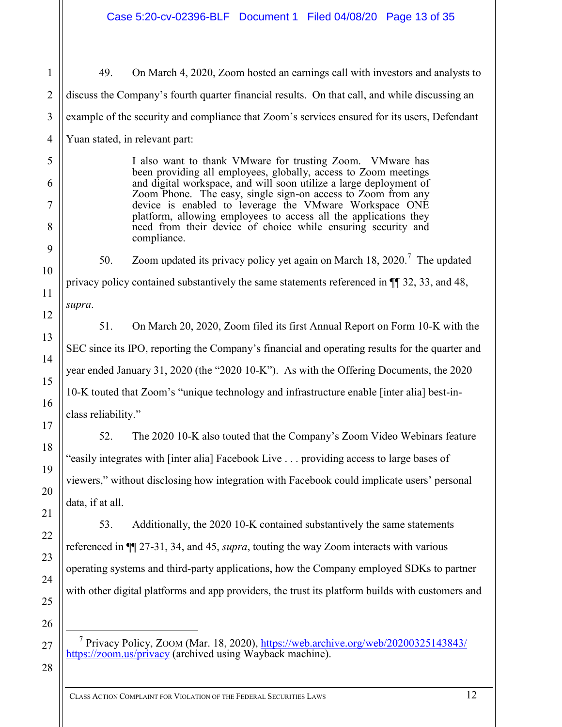49. On March 4, 2020, Zoom hosted an earnings call with investors and analysts to discuss the Company's fourth quarter financial results. On that call, and while discussing an example of the security and compliance that Zoom's services ensured for its users, Defendant Yuan stated, in relevant part:

> I also want to thank VMware for trusting Zoom. VMware has been providing all employees, globally, access to Zoom meetings and digital workspace, and will soon utilize a large deployment of Zoom Phone. The easy, single sign-on access to Zoom from any device is enabled to leverage the VMware Workspace ONE platform, allowing employees to access all the applications they need from their device of choice while ensuring security and compliance.

50. Zoom updated its privacy policy yet again on March 18, 2020.<sup>7</sup> The updated privacy policy contained substantively the same statements referenced in ¶¶ 32, 33, and 48, *supra*.

51. On March 20, 2020, Zoom filed its first Annual Report on Form 10-K with the SEC since its IPO, reporting the Company's financial and operating results for the quarter and year ended January 31, 2020 (the "2020 10-K"). As with the Offering Documents, the 2020 10-K touted that Zoom's "unique technology and infrastructure enable [inter alia] best-inclass reliability."

52. The 2020 10-K also touted that the Company's Zoom Video Webinars feature "easily integrates with [inter alia] Facebook Live . . . providing access to large bases of viewers," without disclosing how integration with Facebook could implicate users' personal data, if at all.

53. Additionally, the 2020 10-K contained substantively the same statements referenced in ¶¶ 27-31, 34, and 45, *supra*, touting the way Zoom interacts with various operating systems and third-party applications, how the Company employed SDKs to partner with other digital platforms and app providers, the trust its platform builds with customers and

<sup>7</sup> Privacy Policy, ZOOM (Mar. 18, 2020), [https://web.archive.org/web/20200325143843/](https://web.archive.org/web/20200325143843/https:/zoom.us/privacy) [https://zoom.us/privacy](https://web.archive.org/web/20200325143843/https:/zoom.us/privacy) (archived using Wayback machine).

28

1

2

3

4

5

6

7

8

9

10

11

12

13

14

15

16

17

18

19

20

21

22

23

24

25

26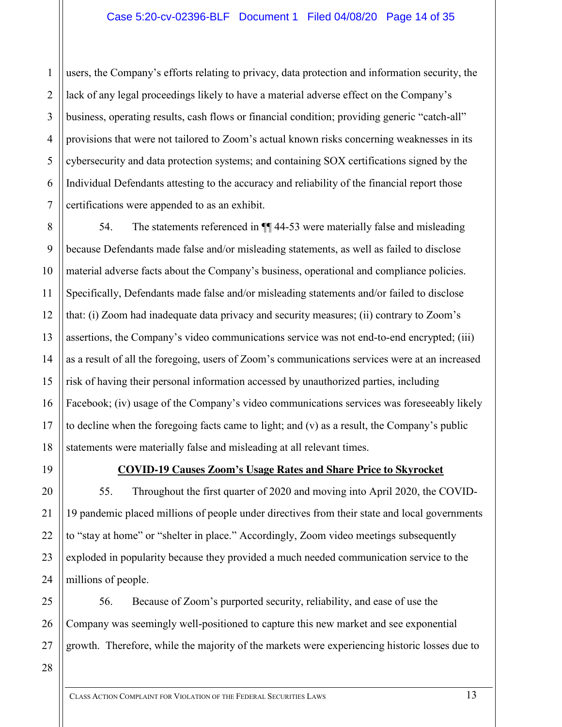1 2 3 4 5 6 7 users, the Company's efforts relating to privacy, data protection and information security, the lack of any legal proceedings likely to have a material adverse effect on the Company's business, operating results, cash flows or financial condition; providing generic "catch-all" provisions that were not tailored to Zoom's actual known risks concerning weaknesses in its cybersecurity and data protection systems; and containing SOX certifications signed by the Individual Defendants attesting to the accuracy and reliability of the financial report those certifications were appended to as an exhibit.

8 9 10 12 13 14 15 16 17 18 54. The statements referenced in ¶¶ 44-53 were materially false and misleading because Defendants made false and/or misleading statements, as well as failed to disclose material adverse facts about the Company's business, operational and compliance policies. Specifically, Defendants made false and/or misleading statements and/or failed to disclose that: (i) Zoom had inadequate data privacy and security measures; (ii) contrary to Zoom's assertions, the Company's video communications service was not end-to-end encrypted; (iii) as a result of all the foregoing, users of Zoom's communications services were at an increased risk of having their personal information accessed by unauthorized parties, including Facebook; (iv) usage of the Company's video communications services was foreseeably likely to decline when the foregoing facts came to light; and (v) as a result, the Company's public statements were materially false and misleading at all relevant times.

19

20

21

22

23

24

11

# **COVID-19 Causes Zoom's Usage Rates and Share Price to Skyrocket**

55. Throughout the first quarter of 2020 and moving into April 2020, the COVID-19 pandemic placed millions of people under directives from their state and local governments to "stay at home" or "shelter in place." Accordingly, Zoom video meetings subsequently exploded in popularity because they provided a much needed communication service to the millions of people.

25 26 27 56. Because of Zoom's purported security, reliability, and ease of use the Company was seemingly well-positioned to capture this new market and see exponential growth. Therefore, while the majority of the markets were experiencing historic losses due to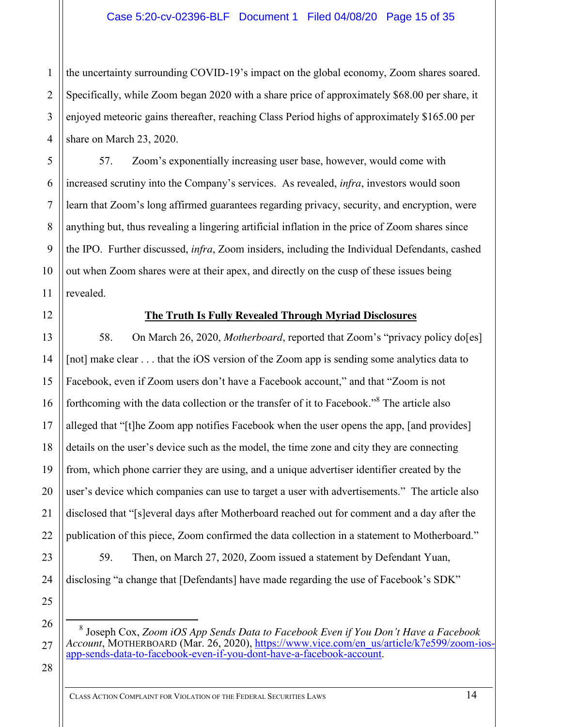2 3 4 the uncertainty surrounding COVID-19's impact on the global economy, Zoom shares soared. Specifically, while Zoom began 2020 with a share price of approximately \$68.00 per share, it enjoyed meteoric gains thereafter, reaching Class Period highs of approximately \$165.00 per share on March 23, 2020.

57. Zoom's exponentially increasing user base, however, would come with increased scrutiny into the Company's services. As revealed, *infra*, investors would soon learn that Zoom's long affirmed guarantees regarding privacy, security, and encryption, were anything but, thus revealing a lingering artificial inflation in the price of Zoom shares since the IPO. Further discussed, *infra*, Zoom insiders, including the Individual Defendants, cashed out when Zoom shares were at their apex, and directly on the cusp of these issues being revealed.

1

5

6

7

8

9

10

11

12

13

14

15

16

17

18

19

20

21

22

23

24

25

26

27

# **The Truth Is Fully Revealed Through Myriad Disclosures**

58. On March 26, 2020, *Motherboard*, reported that Zoom's "privacy policy do[es] [not] make clear . . . that the iOS version of the Zoom app is sending some analytics data to Facebook, even if Zoom users don't have a Facebook account," and that "Zoom is not forthcoming with the data collection or the transfer of it to Facebook."<sup>8</sup> The article also alleged that "[t]he Zoom app notifies Facebook when the user opens the app, [and provides] details on the user's device such as the model, the time zone and city they are connecting from, which phone carrier they are using, and a unique advertiser identifier created by the user's device which companies can use to target a user with advertisements." The article also disclosed that "[s]everal days after Motherboard reached out for comment and a day after the publication of this piece, Zoom confirmed the data collection in a statement to Motherboard."

59. Then, on March 27, 2020, Zoom issued a statement by Defendant Yuan, disclosing "a change that [Defendants] have made regarding the use of Facebook's SDK"

 8 Joseph Cox, *Zoom iOS App Sends Data to Facebook Even if You Don't Have a Facebook Account*, MOTHERBOARD (Mar. 26, 2020), [https://www.vice.com/en\\_us/article/k7e599/zoom-ios](https://www.vice.com/en_us/article/k7e599/zoom-ios-app-sends-data-to-facebook-even-if-you-dont-have-a-facebook-account)[app-sends-data-to-facebook-even-if-you-dont-have-a-facebook-account.](https://www.vice.com/en_us/article/k7e599/zoom-ios-app-sends-data-to-facebook-even-if-you-dont-have-a-facebook-account)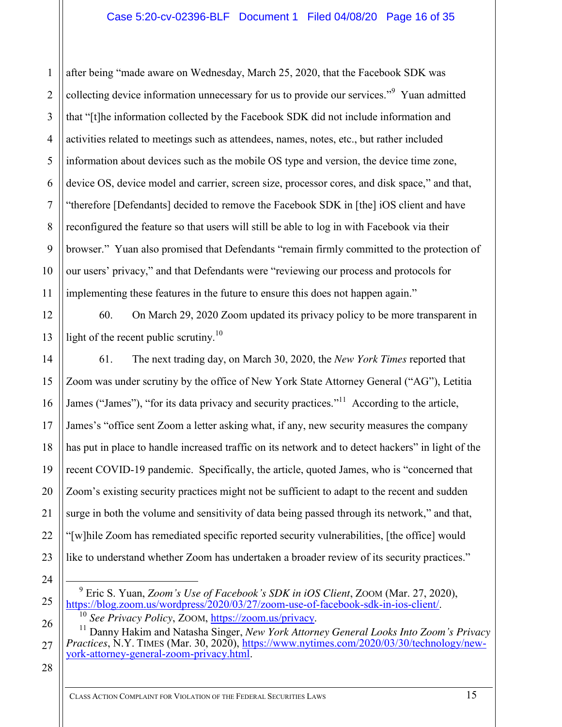after being "made aware on Wednesday, March 25, 2020, that the Facebook SDK was collecting device information unnecessary for us to provide our services."<sup>9</sup> Yuan admitted that "[t]he information collected by the Facebook SDK did not include information and activities related to meetings such as attendees, names, notes, etc., but rather included information about devices such as the mobile OS type and version, the device time zone, device OS, device model and carrier, screen size, processor cores, and disk space," and that, "therefore [Defendants] decided to remove the Facebook SDK in [the] iOS client and have reconfigured the feature so that users will still be able to log in with Facebook via their browser." Yuan also promised that Defendants "remain firmly committed to the protection of our users' privacy," and that Defendants were "reviewing our process and protocols for implementing these features in the future to ensure this does not happen again."

60. On March 29, 2020 Zoom updated its privacy policy to be more transparent in light of the recent public scrutiny.<sup>10</sup>

61. The next trading day, on March 30, 2020, the *New York Times* reported that Zoom was under scrutiny by the office of New York State Attorney General ("AG"), Letitia James ("James"), "for its data privacy and security practices."<sup>11</sup> According to the article, James's "office sent Zoom a letter asking what, if any, new security measures the company has put in place to handle increased traffic on its network and to detect hackers" in light of the recent COVID-19 pandemic. Specifically, the article, quoted James, who is "concerned that Zoom's existing security practices might not be sufficient to adapt to the recent and sudden surge in both the volume and sensitivity of data being passed through its network," and that, "[w]hile Zoom has remediated specific reported security vulnerabilities, [the office] would like to understand whether Zoom has undertaken a broader review of its security practices."

28

27

1

2

3

4

5

6

7

8

9

10

11

12

13

14

15

16

17

18

19

20

21

22

23

24

 <sup>9</sup> Eric S. Yuan, *Zoom's Use of Facebook's SDK in iOS Client*, ZOOM (Mar. 27, 2020), [https://blog.zoom.us/wordpress/2020/03/27/zoom-use-of-facebook-sdk-in-ios-client/.](https://blog.zoom.us/wordpress/2020/03/27/zoom-use-of-facebook-sdk-in-ios-client/)

<sup>10</sup> *See Privacy Policy*, ZOOM, [https://zoom.us/privacy.](https://zoom.us/privacy)

<sup>26</sup> <sup>11</sup> Danny Hakim and Natasha Singer, *New York Attorney General Looks Into Zoom's Privacy Practices*, N.Y. TIMES (Mar. 30, 2020), [https://www.nytimes.com/2020/03/30/technology/new](https://www.nytimes.com/2020/03/30/technology/new-york-attorney-general-zoom-privacy.html)[york-attorney-general-zoom-privacy.html.](https://www.nytimes.com/2020/03/30/technology/new-york-attorney-general-zoom-privacy.html)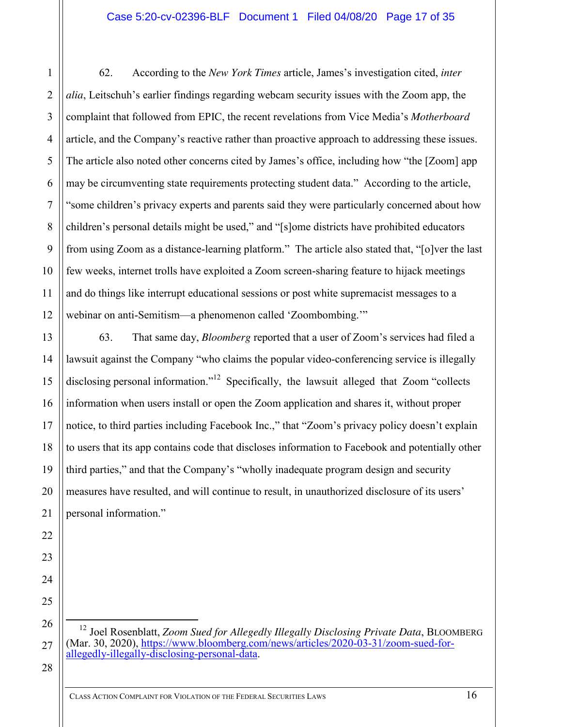1

2

3

4

5

6

7

8

9

10

11

12

13

14

15

16

17

18

19

20

21

22

23

24

25

26

27

28

62. According to the *New York Times* article, James's investigation cited, *inter alia*, Leitschuh's earlier findings regarding webcam security issues with the Zoom app, the complaint that followed from EPIC, the recent revelations from Vice Media's *Motherboard* article, and the Company's reactive rather than proactive approach to addressing these issues. The article also noted other concerns cited by James's office, including how "the [Zoom] app may be circumventing state requirements protecting student data." According to the article, "some children's privacy experts and parents said they were particularly concerned about how children's personal details might be used," and "[s]ome districts have prohibited educators from using Zoom as a distance-learning platform." The article also stated that, "[o]ver the last few weeks, internet trolls have exploited a Zoom screen-sharing feature to hijack meetings and do things like interrupt educational sessions or post white supremacist messages to a webinar on anti-Semitism—a phenomenon called 'Zoombombing.'"

63. That same day, *Bloomberg* reported that a user of Zoom's services had filed a lawsuit against the Company "who claims the popular video-conferencing service is illegally disclosing personal information."<sup>12</sup> Specifically, the lawsuit alleged that Zoom "collects information when users install or open the Zoom application and shares it, without proper notice, to third parties including Facebook Inc.," that "Zoom's privacy policy doesn't explain to users that its app contains code that discloses information to Facebook and potentially other third parties," and that the Company's "wholly inadequate program design and security measures have resulted, and will continue to result, in unauthorized disclosure of its users' personal information."

 12 Joel Rosenblatt, *Zoom Sued for Allegedly Illegally Disclosing Private Data*, BLOOMBERG (Mar. 30, 2020), [https://www.bloomberg.com/news/articles/2020-03-31/zoom-sued-for](https://www.bloomberg.com/news/articles/2020-03-31/zoom-sued-for-allegedly-illegally-disclosing-personal-data)[allegedly-illegally-disclosing-personal-data.](https://www.bloomberg.com/news/articles/2020-03-31/zoom-sued-for-allegedly-illegally-disclosing-personal-data)

CLASS ACTION COMPLAINT FOR VIOLATION OF THE FEDERAL SECURITIES LAWS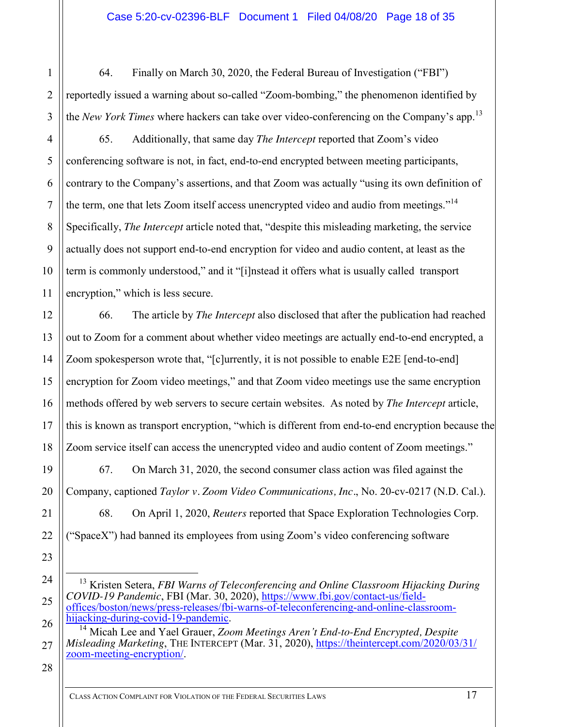64. Finally on March 30, 2020, the Federal Bureau of Investigation ("FBI") reportedly issued a warning about so-called "Zoom-bombing," the phenomenon identified by the *New York Times* where hackers can take over video-conferencing on the Company's app.<sup>13</sup>

65. Additionally, that same day *The Intercept* reported that Zoom's video conferencing software is not, in fact, end-to-end encrypted between meeting participants, contrary to the Company's assertions, and that Zoom was actually "using its own definition of the term, one that lets Zoom itself access unencrypted video and audio from meetings."<sup>14</sup> Specifically, *The Intercept* article noted that, "despite this misleading marketing, the service actually does not support end-to-end encryption for video and audio content, at least as the term is commonly understood," and it "[i]nstead it offers what is usually called transport encryption," which is less secure.

66. The article by *The Intercept* also disclosed that after the publication had reached out to Zoom for a comment about whether video meetings are actually end-to-end encrypted, a Zoom spokesperson wrote that, "[c]urrently, it is not possible to enable E2E [end-to-end] encryption for Zoom video meetings," and that Zoom video meetings use the same encryption methods offered by web servers to secure certain websites. As noted by *The Intercept* article, this is known as transport encryption, "which is different from end-to-end encryption because the Zoom service itself can access the unencrypted video and audio content of Zoom meetings."

67. On March 31, 2020, the second consumer class action was filed against the Company, captioned *Taylor v. Zoom Video Communications, Inc.*, No. 20-cv-0217 (N.D. Cal.).

68. On April 1, 2020, *Reuters* reported that Space Exploration Technologies Corp. ("SpaceX") had banned its employees from using Zoom's video conferencing software

28

1

2

3

4

5

6

7

8

9

10

11

12

13

14

15

16

17

18

19

20

21

22

23

24

25

26

<sup>&</sup>lt;sup>13</sup> Kristen Setera, *FBI Warns of Teleconferencing and Online Classroom Hijacking During COVID-19 Pandemic*, FBI (Mar. 30, 2020), [https://www.fbi.gov/contact-us/field](https://www.fbi.gov/contact-us/field-offices/boston/news/press-releases/fbi-warns-of-teleconferencing-and-online-classroom-hijacking-during-covid-19-pandemic)[offices/boston/news/press-releases/fbi-warns-of-teleconferencing-and-online-classroom](https://www.fbi.gov/contact-us/field-offices/boston/news/press-releases/fbi-warns-of-teleconferencing-and-online-classroom-hijacking-during-covid-19-pandemic)[hijacking-during-covid-19-pandemic.](https://www.fbi.gov/contact-us/field-offices/boston/news/press-releases/fbi-warns-of-teleconferencing-and-online-classroom-hijacking-during-covid-19-pandemic)

<sup>14</sup> Micah Lee and Yael Grauer, *Zoom Meetings Aren't End-to-End Encrypted, Despite Misleading Marketing*, THE INTERCEPT (Mar. 31, 2020), [https://theintercept.com/2020/03/31/](https://theintercept.com/2020/03/31/zoom-meeting-encryption/) [zoom-meeting-encryption/.](https://theintercept.com/2020/03/31/zoom-meeting-encryption/)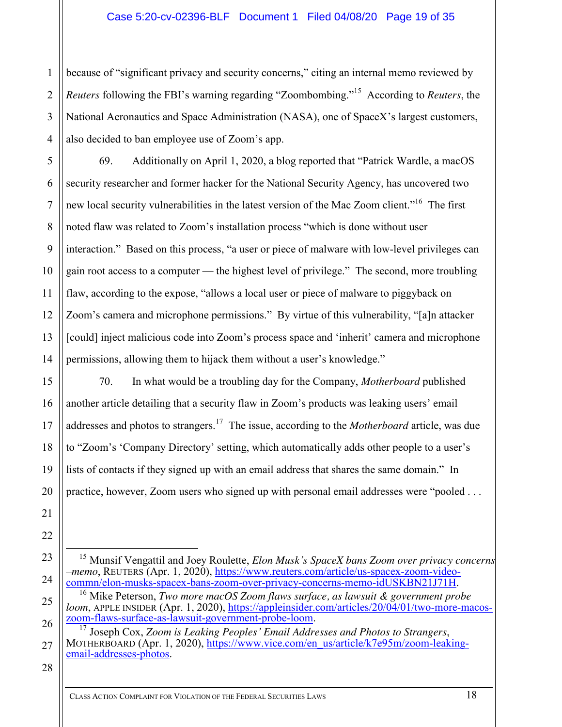# Case 5:20-cv-02396-BLF Document 1 Filed 04/08/20 Page 19 of 35

2 3 4 because of "significant privacy and security concerns," citing an internal memo reviewed by *Reuters* following the FBI's warning regarding "Zoombombing." 15 According to *Reuters*, the National Aeronautics and Space Administration (NASA), one of SpaceX's largest customers, also decided to ban employee use of Zoom's app.

69. Additionally on April 1, 2020, a blog reported that "Patrick Wardle, a macOS security researcher and former hacker for the National Security Agency, has uncovered two new local security vulnerabilities in the latest version of the Mac Zoom client."<sup>16</sup> The first noted flaw was related to Zoom's installation process "which is done without user interaction." Based on this process, "a user or piece of malware with low-level privileges can gain root access to a computer — the highest level of privilege." The second, more troubling flaw, according to the expose, "allows a local user or piece of malware to piggyback on Zoom's camera and microphone permissions." By virtue of this vulnerability, "[a]n attacker [could] inject malicious code into Zoom's process space and 'inherit' camera and microphone permissions, allowing them to hijack them without a user's knowledge."

70. In what would be a troubling day for the Company, *Motherboard* published another article detailing that a security flaw in Zoom's products was leaking users' email addresses and photos to strangers.17 The issue, according to the *Motherboard* article, was due to "Zoom's 'Company Directory' setting, which automatically adds other people to a user's lists of contacts if they signed up with an email address that shares the same domain." In practice, however, Zoom users who signed up with personal email addresses were "pooled . . .

28

1

5

6

7

8

9

10

11

12

13

14

15

16

17

18

19

20

21

22

23

24

 <sup>15</sup> Munsif Vengattil and Joey Roulette, *Elon Musk's SpaceX bans Zoom over privacy concerns –memo*, REUTERS (Apr. 1, 2020), [https://www.reuters.com/article/us-spacex-zoom-video](https://www.reuters.com/article/us-spacex-zoom-video-commn/elon-musks-spacex-bans-zoom-over-privacy-concerns-memo-idUSKBN21J71H)[commn/elon-musks-spacex-bans-zoom-over-privacy-concerns-memo-idUSKBN21J71H.](https://www.reuters.com/article/us-spacex-zoom-video-commn/elon-musks-spacex-bans-zoom-over-privacy-concerns-memo-idUSKBN21J71H) <sup>16</sup> Mike Peterson, *Two more macOS Zoom flaws surface, as lawsuit & government probe* 

*loom*, APPLE INSIDER (Apr. 1, 2020), [https://appleinsider.com/articles/20/04/01/two-more-macos](https://appleinsider.com/articles/20/04/01/two-more-macos-zoom-flaws-surface-as-lawsuit-government-probe-loom)[zoom-flaws-surface-as-lawsuit-government-probe-loom.](https://appleinsider.com/articles/20/04/01/two-more-macos-zoom-flaws-surface-as-lawsuit-government-probe-loom)

<sup>26</sup> 27 <sup>17</sup> Joseph Cox[,](https://www.vice.com/en_us/article/k7e95m/zoom-leaking-email-addresses-photos) *Zoom is Leaking Peoples ' Email Addresses and Photos to Strangers*, MOTHERBOARD (Apr. 1, 2020), https://www.vice.com/en\_us/article/k7e95m/zoom-leaking[email-addresses-photos.](https://www.vice.com/en_us/article/k7e95m/zoom-leaking-email-addresses-photos)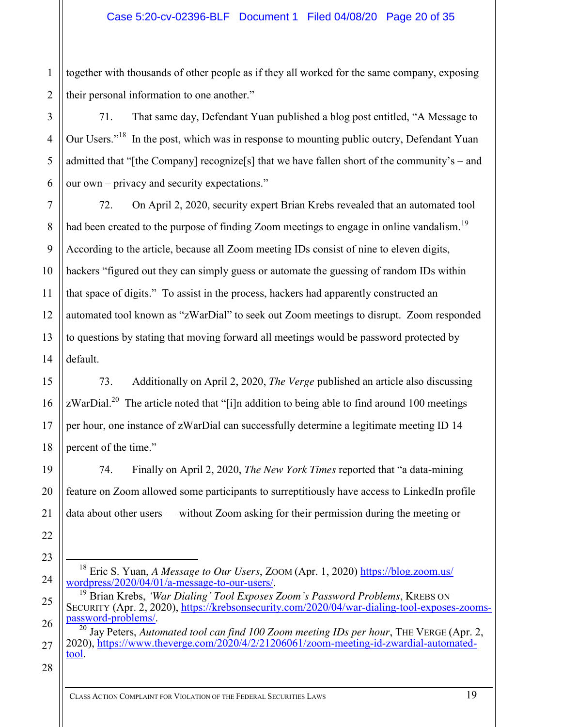1 2 together with thousands of other people as if they all worked for the same company, exposing their personal information to one another."

71. That same day, Defendant Yuan published a blog post entitled, "A Message to Our Users."<sup>18</sup> In the post, which was in response to mounting public outcry, Defendant Yuan admitted that "[the Company] recognize[s] that we have fallen short of the community's – and our own – privacy and security expectations."

14 72. On April 2, 2020, security expert Brian Krebs revealed that an automated tool had been created to the purpose of finding Zoom meetings to engage in online vandalism.<sup>19</sup> According to the article, because all Zoom meeting IDs consist of nine to eleven digits, hackers "figured out they can simply guess or automate the guessing of random IDs within that space of digits." To assist in the process, hackers had apparently constructed an automated tool known as "zWarDial" to seek out Zoom meetings to disrupt. Zoom responded to questions by stating that moving forward all meetings would be password protected by default.

73. Additionally on April 2, 2020, *The Verge* published an article also discussing zWarDial.<sup>20</sup> The article noted that "[i]n addition to being able to find around 100 meetings per hour, one instance of zWarDial can successfully determine a legitimate meeting ID 14 percent of the time."

74. Finally on April 2, 2020, *The New York Times* reported that "a data-mining feature on Zoom allowed some participants to surreptitiously have access to LinkedIn profile data about other users — without Zoom asking for their permission during the meeting or

3

4

5

6

7

8

9

10

11

12

13

15

16

17

18

19

20

21

22

23

24

25

26

 <sup>18</sup> Eric S. Yuan, *A Message to Our Users*, ZOOM (Apr. 1, 2020) [https://blog.zoom.us/](https://blog.zoom.us/wordpress/2020/04/01/a-message-to-our-users/) [wordpress/2020/04/01/a-message-to-our-users/.](https://blog.zoom.us/wordpress/2020/04/01/a-message-to-our-users/)

<sup>19</sup> Brian Krebs, *'War Dialing' Tool Exposes Zoom's Password Problems*, KREBS ON SECURITY (Apr. 2, 2020), [https://krebsonsecurity.com/2020/04/war-dialing-tool-exposes-zooms](https://krebsonsecurity.com/2020/04/war-dialing-tool-exposes-zooms-password-problems/)[password-problems/.](https://krebsonsecurity.com/2020/04/war-dialing-tool-exposes-zooms-password-problems/)

<sup>&</sup>lt;sup>20</sup> Jav Peters, *Automated tool can find 100 Zoom meeting IDs per hour*, THE VERGE (Apr. 2, 2020), [https://www.theverge.com/2020/4/2/21206061/zoom-meeting-id-zwardial-automated](https://www.theverge.com/2020/4/2/21206061/zoom-meeting-id-zwardial-automated-tool)[tool.](https://www.theverge.com/2020/4/2/21206061/zoom-meeting-id-zwardial-automated-tool)

<sup>28</sup>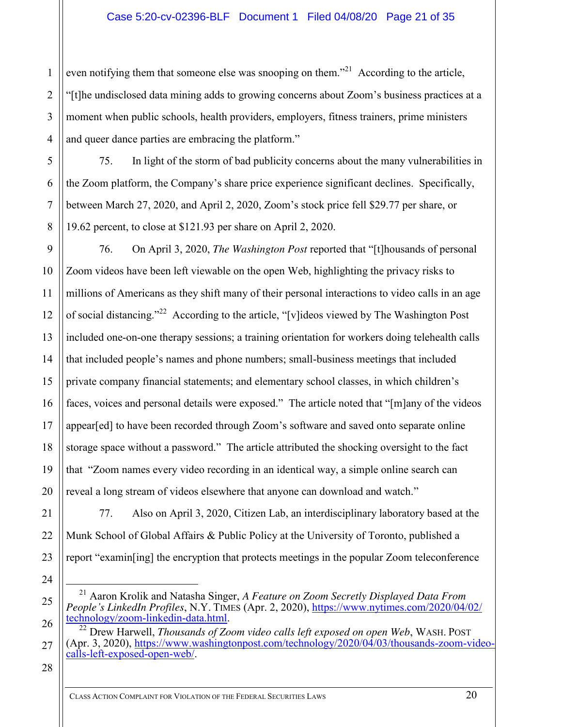even notifying them that someone else was snooping on them."<sup>21</sup> According to the article, "[t]he undisclosed data mining adds to growing concerns about Zoom's business practices at a moment when public schools, health providers, employers, fitness trainers, prime ministers and queer dance parties are embracing the platform."

75. In light of the storm of bad publicity concerns about the many vulnerabilities in the Zoom platform, the Company's share price experience significant declines. Specifically, between March 27, 2020, and April 2, 2020, Zoom's stock price fell \$29.77 per share, or 19.62 percent, to close at \$121.93 per share on April 2, 2020.

76. On April 3, 2020, *The Washington Post* reported that "[t]housands of personal Zoom videos have been left viewable on the open Web, highlighting the privacy risks to millions of Americans as they shift many of their personal interactions to video calls in an age of social distancing."<sup>22</sup> According to the article, "[v] ideos viewed by The Washington Post included one-on-one therapy sessions; a training orientation for workers doing telehealth calls that included people's names and phone numbers; small-business meetings that included private company financial statements; and elementary school classes, in which children's faces, voices and personal details were exposed." The article noted that "[m]any of the videos appear[ed] to have been recorded through Zoom's software and saved onto separate online storage space without a password." The article attributed the shocking oversight to the fact that "Zoom names every video recording in an identical way, a simple online search can reveal a long stream of videos elsewhere that anyone can download and watch."

77. Also on April 3, 2020, Citizen Lab, an interdisciplinary laboratory based at the Munk School of Global Affairs & Public Policy at the University of Toronto, published a report "examin[ing] the encryption that protects meetings in the popular Zoom teleconference

- 21 Aaron Krolik and Natasha Singer, *A Feature on Zoom Secretly Displayed Data From People's LinkedIn Profiles*, N.Y. TIMES (Apr. 2, 2020), [https://www.nytimes.com/2020/04/02/](https://www.nytimes.com/2020/04/02/technology/zoom-linkedin-data.html) [technology/zoom-linkedin-data.html.](https://www.nytimes.com/2020/04/02/technology/zoom-linkedin-data.html)
- <sup>22</sup> Drew Harwell, *Thousands of Zoom video calls left exposed on open Web*, WASH. POST (Apr. 3, 2020), [https://www.washingtonpost.com/technology/2020/04/03/thousands-zoom-video](https://www.washingtonpost.com/technology/2020/04/03/thousands-zoom-video-calls-left-exposed-open-web/)[calls-left-exposed-open-web/.](https://www.washingtonpost.com/technology/2020/04/03/thousands-zoom-video-calls-left-exposed-open-web/)

28

1

2

3

4

5

6

7

8

9

10

11

12

13

14

15

16

17

18

19

20

21

22

23

24

25

26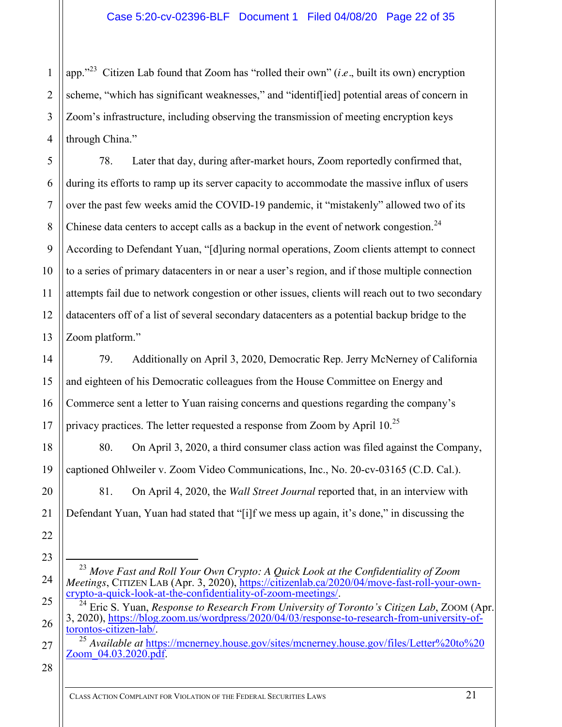app." 23 Citizen Lab found that Zoom has "rolled their own" (*i.e.*, built its own) encryption scheme, "which has significant weaknesses," and "identif[ied] potential areas of concern in Zoom's infrastructure, including observing the transmission of meeting encryption keys through China."

5 6 7 8 9 10 11 12 13 78. Later that day, during after-market hours, Zoom reportedly confirmed that, during its efforts to ramp up its server capacity to accommodate the massive influx of users over the past few weeks amid the COVID-19 pandemic, it "mistakenly" allowed two of its Chinese data centers to accept calls as a backup in the event of network congestion.<sup>24</sup> According to Defendant Yuan, "[d]uring normal operations, Zoom clients attempt to connect to a series of primary datacenters in or near a user's region, and if those multiple connection attempts fail due to network congestion or other issues, clients will reach out to two secondary datacenters off of a list of several secondary datacenters as a potential backup bridge to the Zoom platform."

79. Additionally on April 3, 2020, Democratic Rep. Jerry McNerney of California and eighteen of his Democratic colleagues from the House Committee on Energy and Commerce sent a letter to Yuan raising concerns and questions regarding the company's privacy practices. The letter requested a response from Zoom by April  $10^{25}$ 

80. On April 3, 2020, a third consumer class action was filed against the Company, captioned Ohlweiler v. Zoom Video Communications, Inc., No. 20-cv-03165 (C.D. Cal.).

81. On April 4, 2020, the *Wall Street Journal* reported that, in an interview with Defendant Yuan, Yuan had stated that "[i]f we mess up again, it's done," in discussing the

 23 *Move Fast and Roll Your Own Crypto: A Quick Look at the Confidentiality of Zoom Meetings*, CITIZEN LAB (Apr. 3, 2020), [https://citizenlab.ca/2020/04/move-fast-roll-your-own](https://citizenlab.ca/2020/04/move-fast-roll-your-own-crypto-a-quick-look-at-the-confidentiality-of-zoom-meetings/)[crypto-a-quick-look-at-the-confidentiality-of-zoom-meetings/.](https://citizenlab.ca/2020/04/move-fast-roll-your-own-crypto-a-quick-look-at-the-confidentiality-of-zoom-meetings/)

28

1

2

3

4

14

15

16

17

18

19

20

21

22

23

24

25

26

<sup>24</sup> Eric S. Yuan, *Response to Research From University of Toronto's Citizen Lab*, ZOOM (Apr. 3, 2020), [https://blog.zoom.us/wordpress/2020/04/03/response-to-research-from-university-of](https://blog.zoom.us/wordpress/2020/04/03/response-to-research-from-university-of-torontos-citizen-lab/)[torontos-citizen-lab/.](https://blog.zoom.us/wordpress/2020/04/03/response-to-research-from-university-of-torontos-citizen-lab/)

<sup>&</sup>lt;sup>25</sup> Available at [https://mcnerney.house.gov/sites/mcnerney.house.gov/files/Letter%20to%20](https://mcnerney.house.gov/sites/mcnerney.house.gov/files/Letter%20to%20Zoom_04.03.2020.pdf) [Zoom\\_04.03.2020.pdf.](https://mcnerney.house.gov/sites/mcnerney.house.gov/files/Letter%20to%20Zoom_04.03.2020.pdf)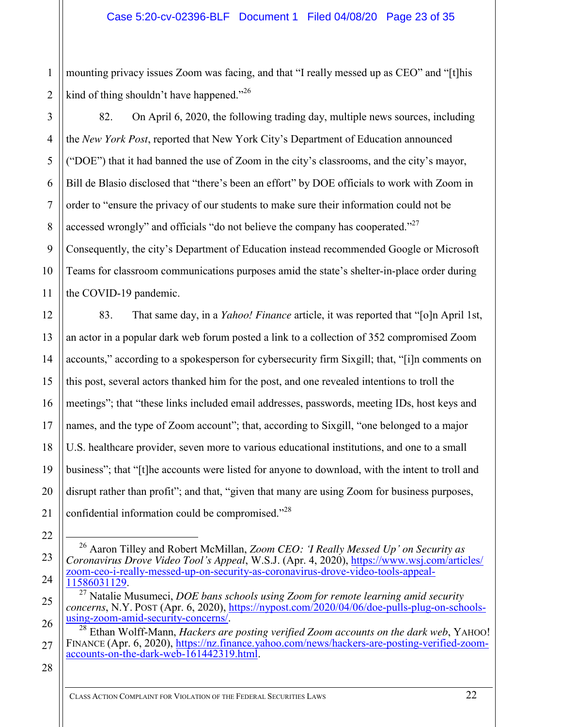2 mounting privacy issues Zoom was facing, and that "I really messed up as CEO" and "[t]his kind of thing shouldn't have happened."<sup>26</sup>

3 4 5 6 7 8 9 10 11 82. On April 6, 2020, the following trading day, multiple news sources, including the *New York Post*, reported that New York City's Department of Education announced ("DOE") that it had banned the use of Zoom in the city's classrooms, and the city's mayor, Bill de Blasio disclosed that "there's been an effort" by DOE officials to work with Zoom in order to "ensure the privacy of our students to make sure their information could not be accessed wrongly" and officials "do not believe the company has cooperated." $^{27}$ Consequently, the city's Department of Education instead recommended Google or Microsoft Teams for classroom communications purposes amid the state's shelter-in-place order during the COVID-19 pandemic.

83. That same day, in a *Yahoo! Finance* article, it was reported that "[o]n April 1st, an actor in a popular dark web forum posted a link to a collection of 352 compromised Zoom accounts," according to a spokesperson for cybersecurity firm Sixgill; that, "[i]n comments on this post, several actors thanked him for the post, and one revealed intentions to troll the meetings"; that "these links included email addresses, passwords, meeting IDs, host keys and names, and the type of Zoom account"; that, according to Sixgill, "one belonged to a major U.S. healthcare provider, seven more to various educational institutions, and one to a small business"; that "[t]he accounts were listed for anyone to download, with the intent to troll and disrupt rather than profit"; and that, "given that many are using Zoom for business purposes, confidential information could be compromised."<sup>28</sup>

 26 Aaron Tilley and Robert McMillan, *Zoom CEO: 'I Really Messed Up' on Security as Coronavirus Drove Video Tool's Appeal*, W.S.J. (Apr. 4, 2020), [https://www.wsj.com/articles/](https://www.wsj.com/articles/zoom-ceo-i-really-messed-up-on-security-as-coronavirus-drove-video-tools-appeal-11586031129) [zoom-ceo-i-really-messed-up-on-security-as-coronavirus-drove-video-tools-appeal-](https://www.wsj.com/articles/zoom-ceo-i-really-messed-up-on-security-as-coronavirus-drove-video-tools-appeal-11586031129)[11586031129.](https://www.wsj.com/articles/zoom-ceo-i-really-messed-up-on-security-as-coronavirus-drove-video-tools-appeal-11586031129)

28

1

12

13

14

15

16

17

18

19

20

21

22

23

24

<sup>27</sup> Natalie Musumeci, *DOE bans schools using Zoom for remote learning amid security concerns*, N.Y. POST (Apr. 6, 2020), [https://nypost.com/2020/04/06/doe-pulls-plug-on-schools](https://nypost.com/2020/04/06/doe-pulls-plug-on-schools-using-zoom-amid-security-concerns/)[using-zoom-amid-security-concerns/.](https://nypost.com/2020/04/06/doe-pulls-plug-on-schools-using-zoom-amid-security-concerns/)

<sup>26</sup> 27 <sup>28</sup> Ethan Wolff-Mann, *Hackers are posting verified Zoom accounts on the dark web*, YAHOO! FINANCE (Apr. 6, 2020), [https://nz.finance.yahoo.com/news/hackers-are-posting-verified-zoom](https://nz.finance.yahoo.com/news/hackers-are-posting-verified-zoom-accounts-on-the-dark-web-161442319.html)[accounts-on-the-dark-web-161442319.html.](https://nz.finance.yahoo.com/news/hackers-are-posting-verified-zoom-accounts-on-the-dark-web-161442319.html)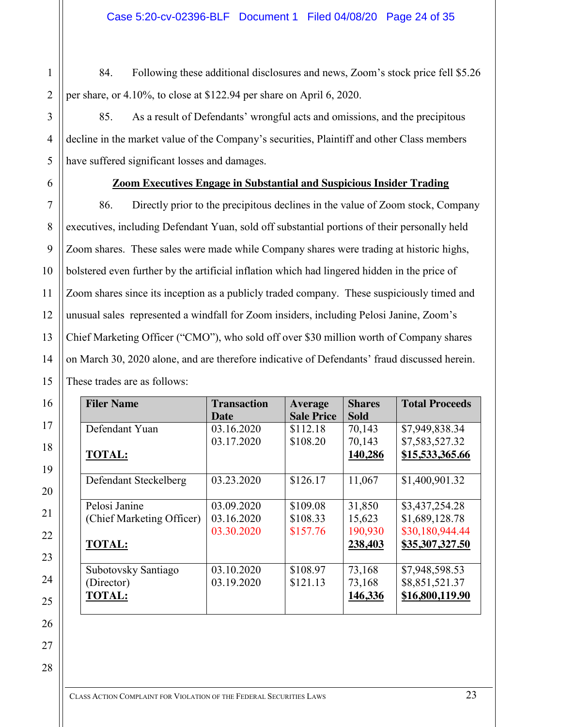84. Following these additional disclosures and news, Zoom's stock price fell \$5.26 per share, or 4.10%, to close at \$122.94 per share on April 6, 2020.

85. As a result of Defendants' wrongful acts and omissions, and the precipitous decline in the market value of the Company's securities, Plaintiff and other Class members have suffered significant losses and damages.

1

# **Zoom Executives Engage in Substantial and Suspicious Insider Trading**

86. Directly prior to the precipitous declines in the value of Zoom stock, Company executives, including Defendant Yuan, sold off substantial portions of their personally held Zoom shares. These sales were made while Company shares were trading at historic highs, bolstered even further by the artificial inflation which had lingered hidden in the price of Zoom shares since its inception as a publicly traded company. These suspiciously timed and unusual sales represented a windfall for Zoom insiders, including Pelosi Janine, Zoom's Chief Marketing Officer ("CMO"), who sold off over \$30 million worth of Company shares on March 30, 2020 alone, and are therefore indicative of Defendants' fraud discussed herein. These trades are as follows:

| <b>Filer Name</b>         | <b>Transaction</b> | Average           | <b>Shares</b> | <b>Total Proceeds</b> |
|---------------------------|--------------------|-------------------|---------------|-----------------------|
|                           | <b>Date</b>        | <b>Sale Price</b> | <b>Sold</b>   |                       |
| Defendant Yuan            | 03.16.2020         | \$112.18          | 70,143        | \$7,949,838.34        |
|                           | 03.17.2020         | \$108.20          | 70,143        | \$7,583,527.32        |
| <b>TOTAL:</b>             |                    |                   | 140,286       | \$15,533,365.66       |
|                           |                    |                   |               |                       |
| Defendant Steckelberg     | 03.23.2020         | \$126.17          | 11,067        | \$1,400,901.32        |
|                           |                    |                   |               |                       |
| Pelosi Janine             | 03.09.2020         | \$109.08          | 31,850        | \$3,437,254.28        |
| (Chief Marketing Officer) | 03.16.2020         | \$108.33          | 15,623        | \$1,689,128.78        |
|                           | 03.30.2020         | \$157.76          | 190,930       | \$30,180,944.44       |
| <b>TOTAL:</b>             |                    |                   | 238,403       | \$35,307,327.50       |
|                           |                    |                   |               |                       |
| Subotovsky Santiago       | 03.10.2020         | \$108.97          | 73,168        | \$7,948,598.53        |
| (Director)                | 03.19.2020         | \$121.13          | 73,168        | \$8,851,521.37        |
| <b>TOTAL:</b>             |                    |                   | 146,336       | \$16,800,119.90       |
|                           |                    |                   |               |                       |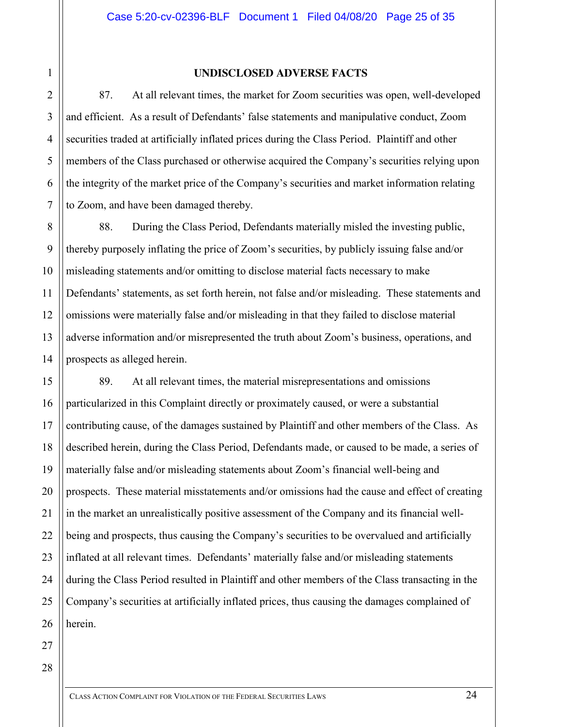5

6

7

8

9

10

11

12

13

14

#### **UNDISCLOSED ADVERSE FACTS**

87. At all relevant times, the market for Zoom securities was open, well-developed and efficient. As a result of Defendants' false statements and manipulative conduct, Zoom securities traded at artificially inflated prices during the Class Period. Plaintiff and other members of the Class purchased or otherwise acquired the Company's securities relying upon the integrity of the market price of the Company's securities and market information relating to Zoom, and have been damaged thereby.

88. During the Class Period, Defendants materially misled the investing public, thereby purposely inflating the price of Zoom's securities, by publicly issuing false and/or misleading statements and/or omitting to disclose material facts necessary to make Defendants' statements, as set forth herein, not false and/or misleading. These statements and omissions were materially false and/or misleading in that they failed to disclose material adverse information and/or misrepresented the truth about Zoom's business, operations, and prospects as alleged herein.

15 16 17 18 19 20 21 22 23 24 26 89. At all relevant times, the material misrepresentations and omissions particularized in this Complaint directly or proximately caused, or were a substantial contributing cause, of the damages sustained by Plaintiff and other members of the Class. As described herein, during the Class Period, Defendants made, or caused to be made, a series of materially false and/or misleading statements about Zoom's financial well-being and prospects. These material misstatements and/or omissions had the cause and effect of creating in the market an unrealistically positive assessment of the Company and its financial wellbeing and prospects, thus causing the Company's securities to be overvalued and artificially inflated at all relevant times. Defendants' materially false and/or misleading statements during the Class Period resulted in Plaintiff and other members of the Class transacting in the Company's securities at artificially inflated prices, thus causing the damages complained of herein.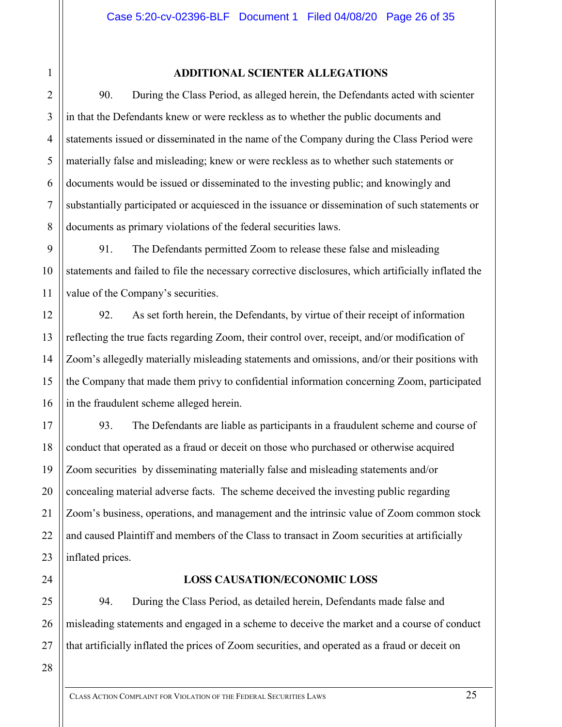5

6

7

8

9

10

11

12

13

14

15

16

17

18

19

20

21

22

23

24

# **ADDITIONAL SCIENTER ALLEGATIONS**

90. During the Class Period, as alleged herein, the Defendants acted with scienter in that the Defendants knew or were reckless as to whether the public documents and statements issued or disseminated in the name of the Company during the Class Period were materially false and misleading; knew or were reckless as to whether such statements or documents would be issued or disseminated to the investing public; and knowingly and substantially participated or acquiesced in the issuance or dissemination of such statements or documents as primary violations of the federal securities laws.

91. The Defendants permitted Zoom to release these false and misleading statements and failed to file the necessary corrective disclosures, which artificially inflated the value of the Company's securities.

92. As set forth herein, the Defendants, by virtue of their receipt of information reflecting the true facts regarding Zoom, their control over, receipt, and/or modification of Zoom's allegedly materially misleading statements and omissions, and/or their positions with the Company that made them privy to confidential information concerning Zoom, participated in the fraudulent scheme alleged herein.

93. The Defendants are liable as participants in a fraudulent scheme and course of conduct that operated as a fraud or deceit on those who purchased or otherwise acquired Zoom securities by disseminating materially false and misleading statements and/or concealing material adverse facts. The scheme deceived the investing public regarding Zoom's business, operations, and management and the intrinsic value of Zoom common stock and caused Plaintiff and members of the Class to transact in Zoom securities at artificially inflated prices.

**LOSS CAUSATION/ECONOMIC LOSS**

25 26 94. During the Class Period, as detailed herein, Defendants made false and misleading statements and engaged in a scheme to deceive the market and a course of conduct that artificially inflated the prices of Zoom securities, and operated as a fraud or deceit on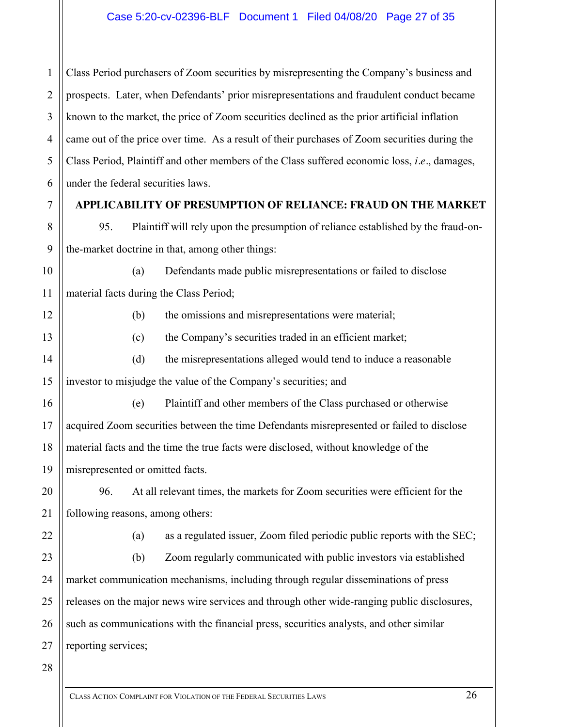1 2 3 4 5 6 Class Period purchasers of Zoom securities by misrepresenting the Company's business and prospects. Later, when Defendants' prior misrepresentations and fraudulent conduct became known to the market, the price of Zoom securities declined as the prior artificial inflation came out of the price over time. As a result of their purchases of Zoom securities during the Class Period, Plaintiff and other members of the Class suffered economic loss, *i.e.*, damages, under the federal securities laws.

# **APPLICABILITY OF PRESUMPTION OF RELIANCE: FRAUD ON THE MARKET**

95. Plaintiff will rely upon the presumption of reliance established by the fraud-onthe-market doctrine in that, among other things:

(a) Defendants made public misrepresentations or failed to disclose material facts during the Class Period;

(b) the omissions and misrepresentations were material;

(c) the Company's securities traded in an efficient market;

(d) the misrepresentations alleged would tend to induce a reasonable investor to misjudge the value of the Company's securities; and

(e) Plaintiff and other members of the Class purchased or otherwise acquired Zoom securities between the time Defendants misrepresented or failed to disclose material facts and the time the true facts were disclosed, without knowledge of the misrepresented or omitted facts.

96. At all relevant times, the markets for Zoom securities were efficient for the following reasons, among others:

(a) as a regulated issuer, Zoom filed periodic public reports with the SEC;

(b) Zoom regularly communicated with public investors via established market communication mechanisms, including through regular disseminations of press releases on the major news wire services and through other wide-ranging public disclosures, such as communications with the financial press, securities analysts, and other similar reporting services;

7

8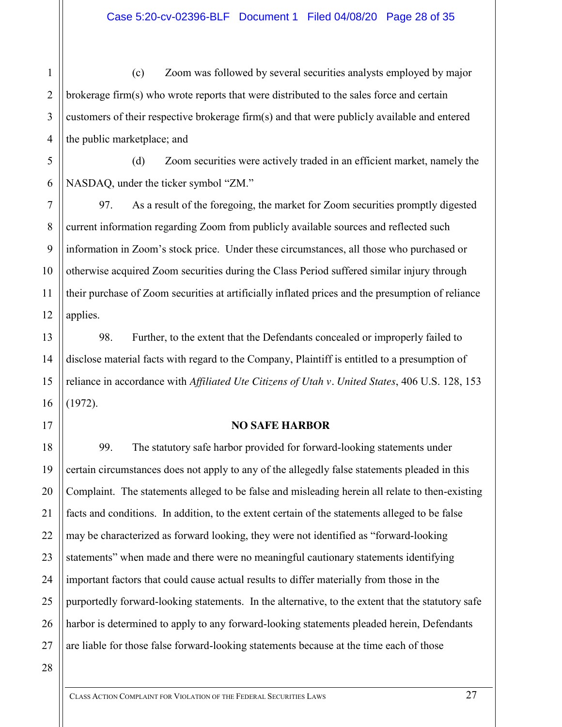2 3 4 (c) Zoom was followed by several securities analysts employed by major brokerage firm(s) who wrote reports that were distributed to the sales force and certain customers of their respective brokerage firm(s) and that were publicly available and entered the public marketplace; and

5 6 (d) Zoom securities were actively traded in an efficient market, namely the NASDAQ, under the ticker symbol "ZM."

97. As a result of the foregoing, the market for Zoom securities promptly digested current information regarding Zoom from publicly available sources and reflected such information in Zoom's stock price. Under these circumstances, all those who purchased or otherwise acquired Zoom securities during the Class Period suffered similar injury through their purchase of Zoom securities at artificially inflated prices and the presumption of reliance applies.

98. Further, to the extent that the Defendants concealed or improperly failed to disclose material facts with regard to the Company, Plaintiff is entitled to a presumption of reliance in accordance with *Affiliated Ute Citizens of Utah v. United States*, 406 U.S. 128, 153 (1972).

# **NO SAFE HARBOR**

99. The statutory safe harbor provided for forward-looking statements under certain circumstances does not apply to any of the allegedly false statements pleaded in this Complaint. The statements alleged to be false and misleading herein all relate to then-existing facts and conditions. In addition, to the extent certain of the statements alleged to be false may be characterized as forward looking, they were not identified as "forward-looking statements" when made and there were no meaningful cautionary statements identifying important factors that could cause actual results to differ materially from those in the purportedly forward-looking statements. In the alternative, to the extent that the statutory safe harbor is determined to apply to any forward-looking statements pleaded herein, Defendants are liable for those false forward-looking statements because at the time each of those

1

7

8

9

10

11

12

13

14

15

16

17

18

19

20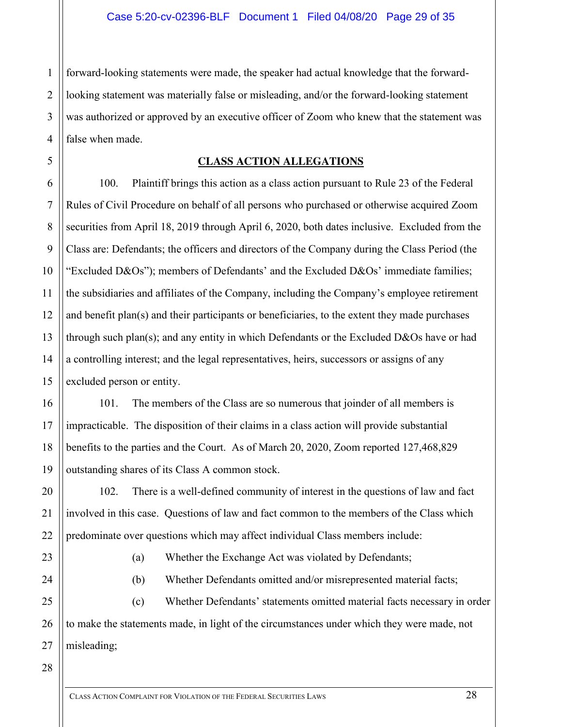2 3 4 forward-looking statements were made, the speaker had actual knowledge that the forwardlooking statement was materially false or misleading, and/or the forward-looking statement was authorized or approved by an executive officer of Zoom who knew that the statement was false when made.

# **CLASS ACTION ALLEGATIONS**

100. Plaintiff brings this action as a class action pursuant to Rule 23 of the Federal Rules of Civil Procedure on behalf of all persons who purchased or otherwise acquired Zoom securities from April 18, 2019 through April 6, 2020, both dates inclusive. Excluded from the Class are: Defendants; the officers and directors of the Company during the Class Period (the "Excluded D&Os"); members of Defendants' and the Excluded D&Os' immediate families; the subsidiaries and affiliates of the Company, including the Company's employee retirement and benefit plan(s) and their participants or beneficiaries, to the extent they made purchases through such plan(s); and any entity in which Defendants or the Excluded D&Os have or had a controlling interest; and the legal representatives, heirs, successors or assigns of any excluded person or entity.

101. The members of the Class are so numerous that joinder of all members is impracticable. The disposition of their claims in a class action will provide substantial benefits to the parties and the Court. As of March 20, 2020, Zoom reported 127,468,829 outstanding shares of its Class A common stock.

102. There is a well-defined community of interest in the questions of law and fact involved in this case. Questions of law and fact common to the members of the Class which predominate over questions which may affect individual Class members include:

- 
- (a) Whether the Exchange Act was violated by Defendants;
- (b) Whether Defendants omitted and/or misrepresented material facts;

(c) Whether Defendants' statements omitted material facts necessary in order to make the statements made, in light of the circumstances under which they were made, not misleading;

1

5

6

7

8

9

10

11

12

13

14

15

16

17

18

19

20

21

22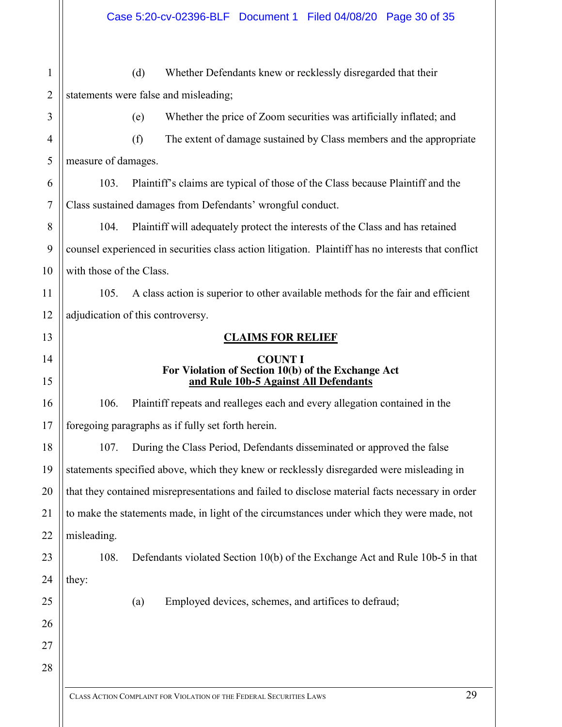1 2 3 4 5 6 7 8 9 10 11 12 13 14 15 16 17 18 19 20 21 22 23 24 25 26 27 28 (d) Whether Defendants knew or recklessly disregarded that their statements were false and misleading; (e) Whether the price of Zoom securities was artificially inflated; and (f) The extent of damage sustained by Class members and the appropriate measure of damages. 103. Plaintiff's claims are typical of those of the Class because Plaintiff and the Class sustained damages from Defendants' wrongful conduct. 104. Plaintiff will adequately protect the interests of the Class and has retained counsel experienced in securities class action litigation. Plaintiff has no interests that conflict with those of the Class. 105. A class action is superior to other available methods for the fair and efficient adjudication of this controversy. **CLAIMS FOR RELIEF COUNT I For Violation of Section 10(b) of the Exchange Act and Rule 10b-5 Against All Defendants** 106. Plaintiff repeats and realleges each and every allegation contained in the foregoing paragraphs as if fully set forth herein. 107. During the Class Period, Defendants disseminated or approved the false statements specified above, which they knew or recklessly disregarded were misleading in that they contained misrepresentations and failed to disclose material facts necessary in order to make the statements made, in light of the circumstances under which they were made, not misleading. 108. Defendants violated Section 10(b) of the Exchange Act and Rule 10b-5 in that they: (a) Employed devices, schemes, and artifices to defraud;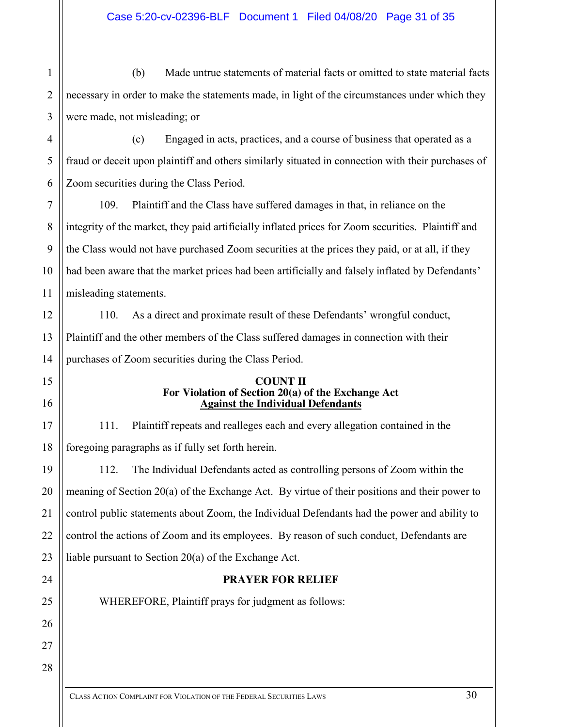1 2 3 (b) Made untrue statements of material facts or omitted to state material facts necessary in order to make the statements made, in light of the circumstances under which they were made, not misleading; or

4 5 (c) Engaged in acts, practices, and a course of business that operated as a fraud or deceit upon plaintiff and others similarly situated in connection with their purchases of Zoom securities during the Class Period.

109. Plaintiff and the Class have suffered damages in that, in reliance on the integrity of the market, they paid artificially inflated prices for Zoom securities. Plaintiff and the Class would not have purchased Zoom securities at the prices they paid, or at all, if they had been aware that the market prices had been artificially and falsely inflated by Defendants' misleading statements.

110. As a direct and proximate result of these Defendants' wrongful conduct, Plaintiff and the other members of the Class suffered damages in connection with their purchases of Zoom securities during the Class Period.

#### **COUNT II For Violation of Section 20(a) of the Exchange Act Against the Individual Defendants**

111. Plaintiff repeats and realleges each and every allegation contained in the foregoing paragraphs as if fully set forth herein.

112. The Individual Defendants acted as controlling persons of Zoom within the meaning of Section 20(a) of the Exchange Act. By virtue of their positions and their power to control public statements about Zoom, the Individual Defendants had the power and ability to control the actions of Zoom and its employees. By reason of such conduct, Defendants are liable pursuant to Section 20(a) of the Exchange Act.

# **PRAYER FOR RELIEF**

WHEREFORE, Plaintiff prays for judgment as follows: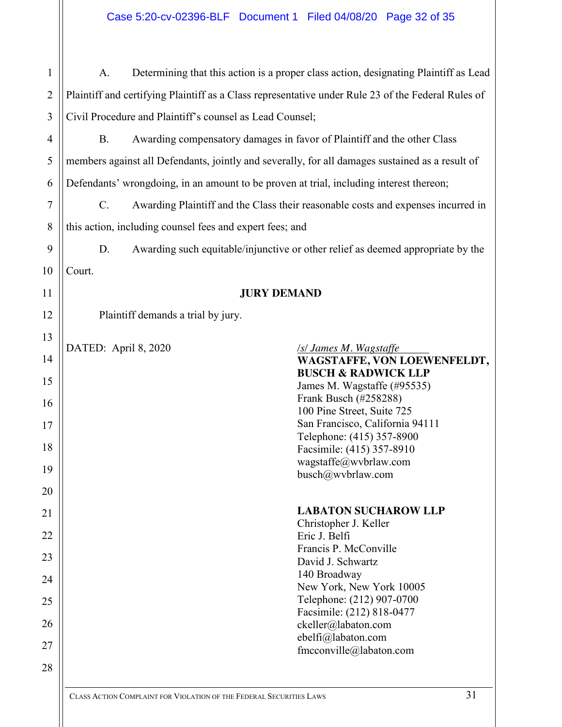| 1              | A.                   |                                                                                         | Determining that this action is a proper class action, designating Plaintiff as Lead               |
|----------------|----------------------|-----------------------------------------------------------------------------------------|----------------------------------------------------------------------------------------------------|
| $\overline{2}$ |                      |                                                                                         | Plaintiff and certifying Plaintiff as a Class representative under Rule 23 of the Federal Rules of |
| 3              |                      | Civil Procedure and Plaintiff's counsel as Lead Counsel;                                |                                                                                                    |
| $\overline{4}$ | <b>B.</b>            |                                                                                         | Awarding compensatory damages in favor of Plaintiff and the other Class                            |
| 5              |                      |                                                                                         | members against all Defendants, jointly and severally, for all damages sustained as a result of    |
| 6              |                      | Defendants' wrongdoing, in an amount to be proven at trial, including interest thereon; |                                                                                                    |
| 7              | $C$ .                |                                                                                         | Awarding Plaintiff and the Class their reasonable costs and expenses incurred in                   |
| 8              |                      | this action, including counsel fees and expert fees; and                                |                                                                                                    |
| 9              | D.                   |                                                                                         | Awarding such equitable/injunctive or other relief as deemed appropriate by the                    |
| 10             | Court.               |                                                                                         |                                                                                                    |
| 11             |                      | <b>JURY DEMAND</b>                                                                      |                                                                                                    |
| 12             |                      | Plaintiff demands a trial by jury.                                                      |                                                                                                    |
| 13             | DATED: April 8, 2020 |                                                                                         | <b>SSI James M. Wagstaffe</b>                                                                      |
| 14             |                      |                                                                                         | WAGSTAFFE, VON LOEWENFELDT,                                                                        |
| 15             |                      |                                                                                         | <b>BUSCH &amp; RADWICK LLP</b><br>James M. Wagstaffe (#95535)                                      |
| 16             |                      |                                                                                         | Frank Busch (#258288)<br>100 Pine Street, Suite 725                                                |
| 17             |                      |                                                                                         | San Francisco, California 94111                                                                    |
| 18             |                      |                                                                                         | Telephone: (415) 357-8900<br>Facsimile: (415) 357-8910                                             |
| 19             |                      |                                                                                         | wagstaffe@wvbrlaw.com<br>busch@wvbrlaw.com                                                         |
| 20             |                      |                                                                                         |                                                                                                    |
| 21             |                      |                                                                                         | <b>LABATON SUCHAROW LLP</b><br>Christopher J. Keller                                               |
| 22             |                      |                                                                                         | Eric J. Belfi                                                                                      |
| 23             |                      |                                                                                         | Francis P. McConville<br>David J. Schwartz                                                         |
| 24             |                      |                                                                                         | 140 Broadway<br>New York, New York 10005                                                           |
| 25             |                      |                                                                                         | Telephone: (212) 907-0700                                                                          |
| 26             |                      |                                                                                         | Facsimile: (212) 818-0477<br>ckeller@labaton.com                                                   |
| 27             |                      |                                                                                         | ebelfi@labaton.com<br>fmcconville@labaton.com                                                      |
| 28             |                      |                                                                                         |                                                                                                    |